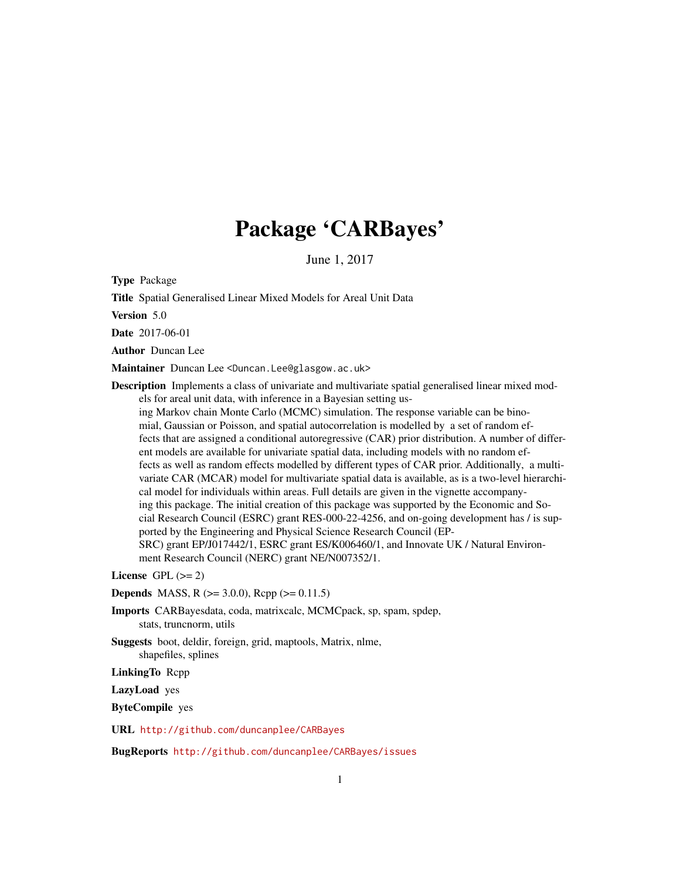# Package 'CARBayes'

June 1, 2017

Type Package

Title Spatial Generalised Linear Mixed Models for Areal Unit Data

Version 5.0

Date 2017-06-01

Author Duncan Lee

Maintainer Duncan Lee <Duncan.Lee@glasgow.ac.uk>

Description Implements a class of univariate and multivariate spatial generalised linear mixed models for areal unit data, with inference in a Bayesian setting using Markov chain Monte Carlo (MCMC) simulation. The response variable can be binomial, Gaussian or Poisson, and spatial autocorrelation is modelled by a set of random effects that are assigned a conditional autoregressive (CAR) prior distribution. A number of different models are available for univariate spatial data, including models with no random effects as well as random effects modelled by different types of CAR prior. Additionally, a multivariate CAR (MCAR) model for multivariate spatial data is available, as is a two-level hierarchical model for individuals within areas. Full details are given in the vignette accompanying this package. The initial creation of this package was supported by the Economic and Social Research Council (ESRC) grant RES-000-22-4256, and on-going development has / is supported by the Engineering and Physical Science Research Council (EP-SRC) grant EP/J017442/1, ESRC grant ES/K006460/1, and Innovate UK / Natural Environment Research Council (NERC) grant NE/N007352/1.

License GPL  $(>= 2)$ 

**Depends** MASS, R ( $>= 3.0.0$ ), Rcpp ( $>= 0.11.5$ )

Imports CARBayesdata, coda, matrixcalc, MCMCpack, sp, spam, spdep, stats, truncnorm, utils

Suggests boot, deldir, foreign, grid, maptools, Matrix, nlme, shapefiles, splines

LinkingTo Rcpp

LazyLoad yes

ByteCompile yes

URL <http://github.com/duncanplee/CARBayes>

BugReports <http://github.com/duncanplee/CARBayes/issues>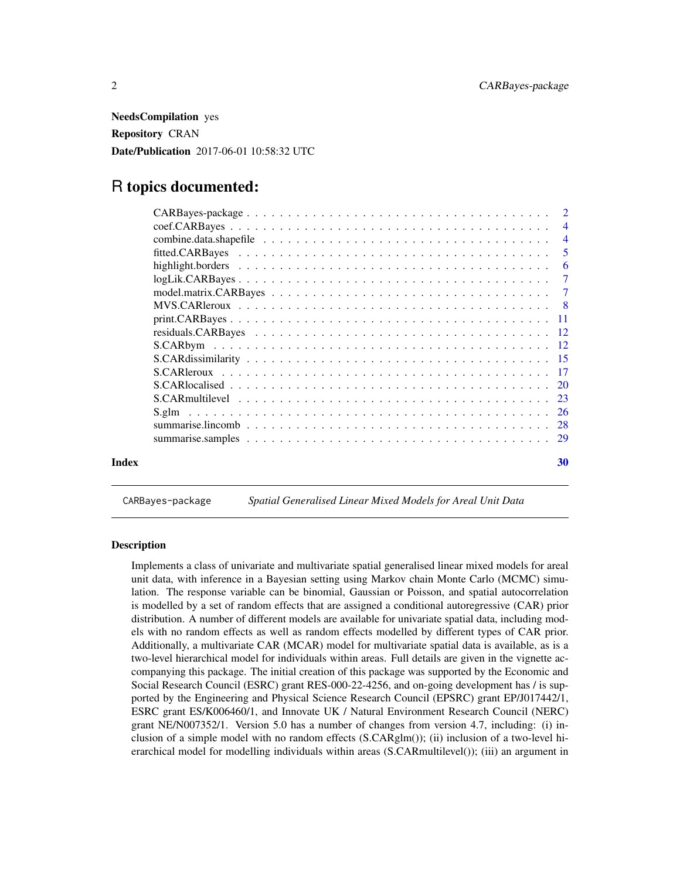<span id="page-1-0"></span>NeedsCompilation yes Repository CRAN Date/Publication 2017-06-01 10:58:32 UTC

# R topics documented:

|       | -6 |
|-------|----|
|       |    |
|       |    |
|       |    |
|       |    |
|       |    |
|       |    |
|       |    |
|       |    |
|       |    |
|       |    |
|       |    |
|       |    |
|       |    |
| Index | 30 |

CARBayes-package *Spatial Generalised Linear Mixed Models for Areal Unit Data*

#### **Description**

Implements a class of univariate and multivariate spatial generalised linear mixed models for areal unit data, with inference in a Bayesian setting using Markov chain Monte Carlo (MCMC) simulation. The response variable can be binomial, Gaussian or Poisson, and spatial autocorrelation is modelled by a set of random effects that are assigned a conditional autoregressive (CAR) prior distribution. A number of different models are available for univariate spatial data, including models with no random effects as well as random effects modelled by different types of CAR prior. Additionally, a multivariate CAR (MCAR) model for multivariate spatial data is available, as is a two-level hierarchical model for individuals within areas. Full details are given in the vignette accompanying this package. The initial creation of this package was supported by the Economic and Social Research Council (ESRC) grant RES-000-22-4256, and on-going development has / is supported by the Engineering and Physical Science Research Council (EPSRC) grant EP/J017442/1, ESRC grant ES/K006460/1, and Innovate UK / Natural Environment Research Council (NERC) grant NE/N007352/1. Version 5.0 has a number of changes from version 4.7, including: (i) inclusion of a simple model with no random effects (S.CARglm()); (ii) inclusion of a two-level hierarchical model for modelling individuals within areas (S.CARmultilevel()); (iii) an argument in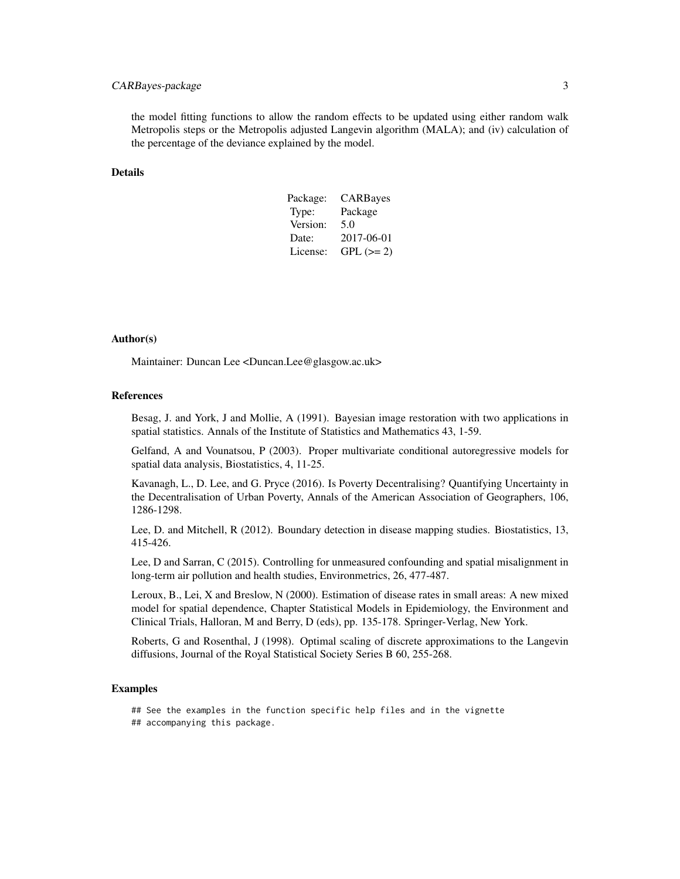# CARBayes-package 3

the model fitting functions to allow the random effects to be updated using either random walk Metropolis steps or the Metropolis adjusted Langevin algorithm (MALA); and (iv) calculation of the percentage of the deviance explained by the model.

#### Details

| Package: | CARBayes   |
|----------|------------|
| Type:    | Package    |
| Version: | 5.0        |
| Date:    | 2017-06-01 |
| License: | $GPL (=2)$ |

#### Author(s)

Maintainer: Duncan Lee <Duncan.Lee@glasgow.ac.uk>

### References

Besag, J. and York, J and Mollie, A (1991). Bayesian image restoration with two applications in spatial statistics. Annals of the Institute of Statistics and Mathematics 43, 1-59.

Gelfand, A and Vounatsou, P (2003). Proper multivariate conditional autoregressive models for spatial data analysis, Biostatistics, 4, 11-25.

Kavanagh, L., D. Lee, and G. Pryce (2016). Is Poverty Decentralising? Quantifying Uncertainty in the Decentralisation of Urban Poverty, Annals of the American Association of Geographers, 106, 1286-1298.

Lee, D. and Mitchell, R (2012). Boundary detection in disease mapping studies. Biostatistics, 13, 415-426.

Lee, D and Sarran, C (2015). Controlling for unmeasured confounding and spatial misalignment in long-term air pollution and health studies, Environmetrics, 26, 477-487.

Leroux, B., Lei, X and Breslow, N (2000). Estimation of disease rates in small areas: A new mixed model for spatial dependence, Chapter Statistical Models in Epidemiology, the Environment and Clinical Trials, Halloran, M and Berry, D (eds), pp. 135-178. Springer-Verlag, New York.

Roberts, G and Rosenthal, J (1998). Optimal scaling of discrete approximations to the Langevin diffusions, Journal of the Royal Statistical Society Series B 60, 255-268.

#### Examples

## See the examples in the function specific help files and in the vignette

## accompanying this package.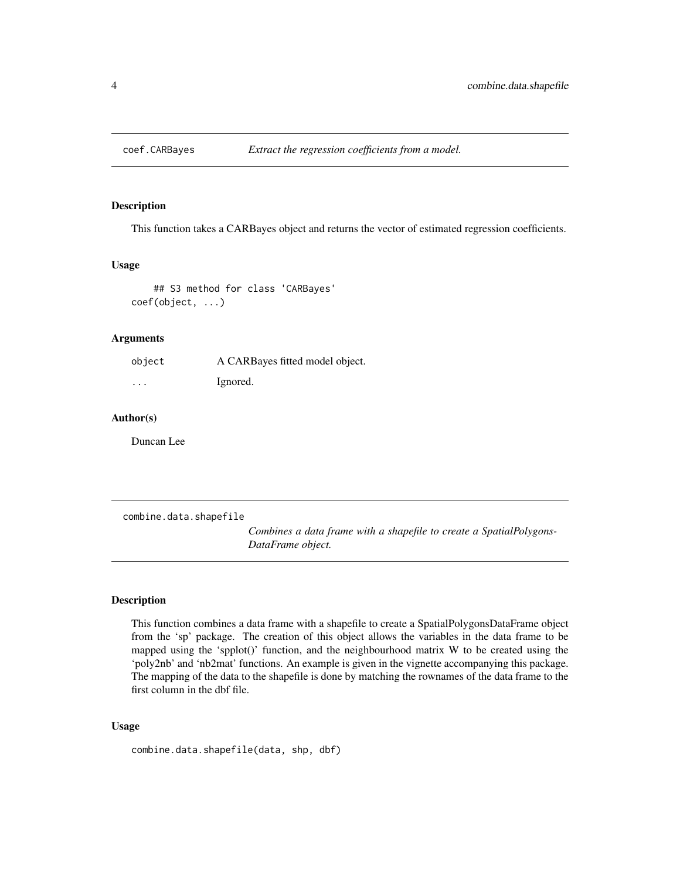<span id="page-3-0"></span>

#### Description

This function takes a CARBayes object and returns the vector of estimated regression coefficients.

#### Usage

## S3 method for class 'CARBayes' coef(object, ...)

#### Arguments

| object  | A CARBayes fitted model object. |
|---------|---------------------------------|
| $\cdot$ | Ignored.                        |

#### Author(s)

Duncan Lee

combine.data.shapefile

*Combines a data frame with a shapefile to create a SpatialPolygons-DataFrame object.*

#### Description

This function combines a data frame with a shapefile to create a SpatialPolygonsDataFrame object from the 'sp' package. The creation of this object allows the variables in the data frame to be mapped using the 'spplot()' function, and the neighbourhood matrix  $W$  to be created using the 'poly2nb' and 'nb2mat' functions. An example is given in the vignette accompanying this package. The mapping of the data to the shapefile is done by matching the rownames of the data frame to the first column in the dbf file.

#### Usage

combine.data.shapefile(data, shp, dbf)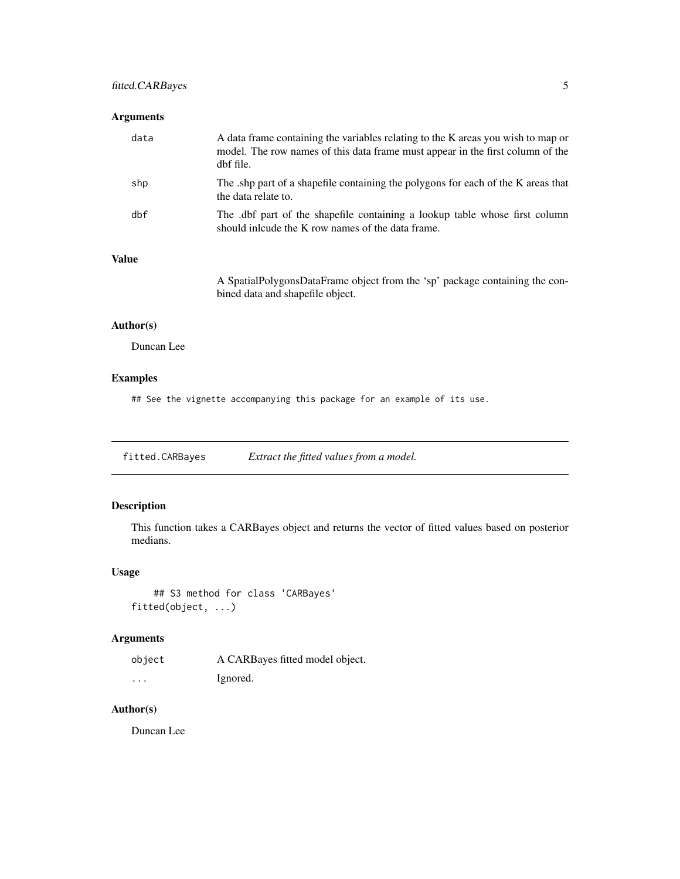# <span id="page-4-0"></span>fitted.CARBayes 5

#### Arguments

| data | A data frame containing the variables relating to the K areas you wish to map or<br>model. The row names of this data frame must appear in the first column of the<br>dbf file. |
|------|---------------------------------------------------------------------------------------------------------------------------------------------------------------------------------|
| shp  | The shp part of a shapefile containing the polygons for each of the K areas that<br>the data relate to.                                                                         |
| dbf  | The dbf part of the shapefile containing a lookup table whose first column<br>should include the K row names of the data frame.                                                 |

# Value

A SpatialPolygonsDataFrame object from the 'sp' package containing the conbined data and shapefile object.

# Author(s)

Duncan Lee

# Examples

## See the vignette accompanying this package for an example of its use.

fitted.CARBayes *Extract the fitted values from a model.*

# Description

This function takes a CARBayes object and returns the vector of fitted values based on posterior medians.

# Usage

```
## S3 method for class 'CARBayes'
fitted(object, ...)
```
# Arguments

| object   | A CARBayes fitted model object. |
|----------|---------------------------------|
| $\cdots$ | Ignored.                        |

# Author(s)

Duncan Lee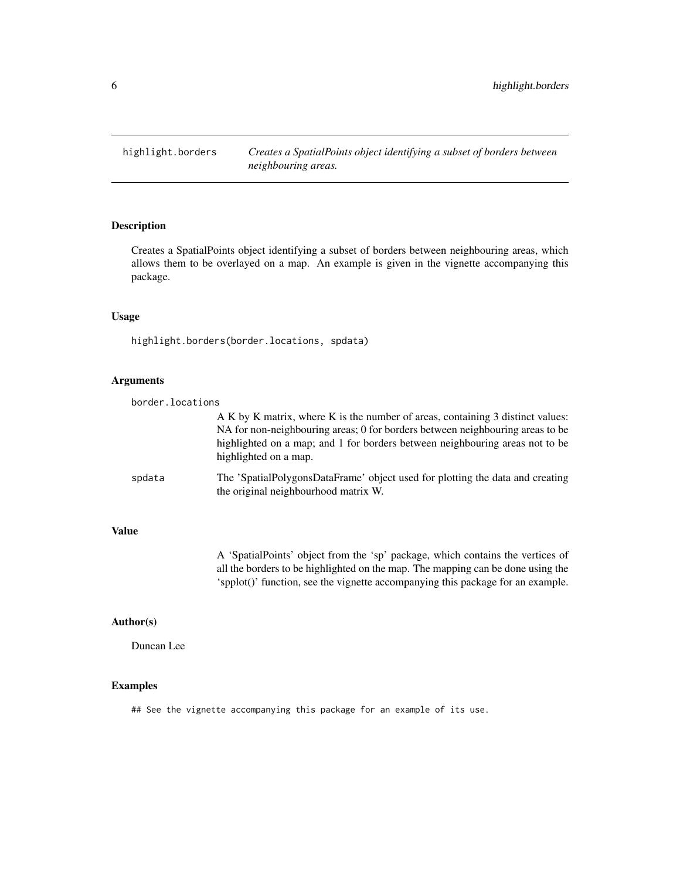<span id="page-5-0"></span>highlight.borders *Creates a SpatialPoints object identifying a subset of borders between neighbouring areas.*

# Description

Creates a SpatialPoints object identifying a subset of borders between neighbouring areas, which allows them to be overlayed on a map. An example is given in the vignette accompanying this package.

#### Usage

highlight.borders(border.locations, spdata)

#### Arguments

| border.locations |                                                                                                                                                                                                                                                                          |
|------------------|--------------------------------------------------------------------------------------------------------------------------------------------------------------------------------------------------------------------------------------------------------------------------|
|                  | A K by K matrix, where K is the number of areas, containing 3 distinct values:<br>NA for non-neighbouring areas; 0 for borders between neighbouring areas to be<br>highlighted on a map; and 1 for borders between neighbouring areas not to be<br>highlighted on a map. |
| spdata           | The 'SpatialPolygonsDataFrame' object used for plotting the data and creating<br>the original neighbourhood matrix W.                                                                                                                                                    |

#### Value

A 'SpatialPoints' object from the 'sp' package, which contains the vertices of all the borders to be highlighted on the map. The mapping can be done using the 'spplot()' function, see the vignette accompanying this package for an example.

# Author(s)

Duncan Lee

# Examples

## See the vignette accompanying this package for an example of its use.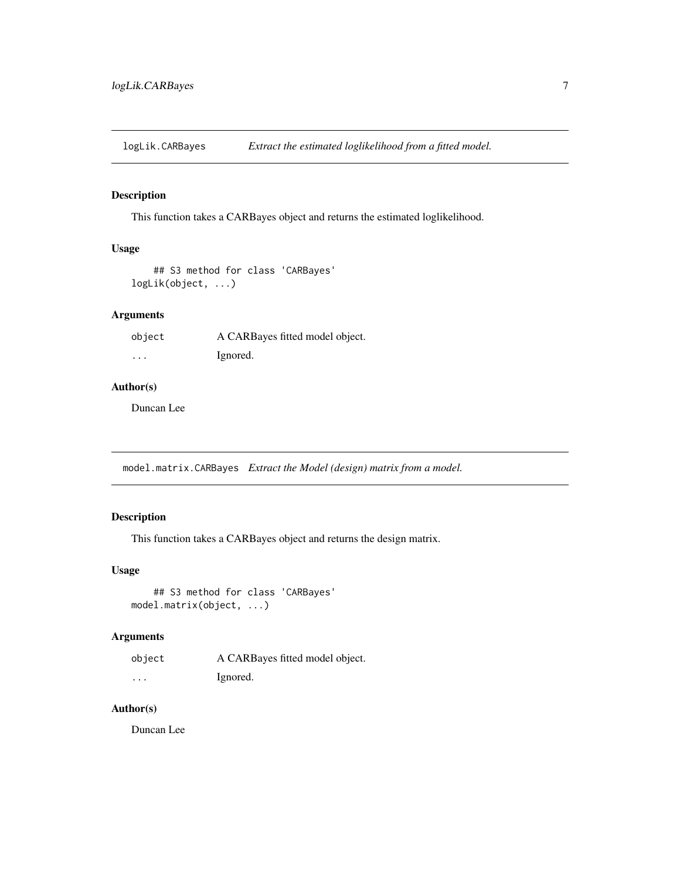<span id="page-6-0"></span>logLik.CARBayes *Extract the estimated loglikelihood from a fitted model.*

# Description

This function takes a CARBayes object and returns the estimated loglikelihood.

#### Usage

```
## S3 method for class 'CARBayes'
logLik(object, ...)
```
# Arguments

| object   | A CARBayes fitted model object. |
|----------|---------------------------------|
| $\cdots$ | Ignored.                        |

#### Author(s)

Duncan Lee

model.matrix.CARBayes *Extract the Model (design) matrix from a model.*

# Description

This function takes a CARBayes object and returns the design matrix.

#### Usage

```
## S3 method for class 'CARBayes'
model.matrix(object, ...)
```
#### Arguments

| object | A CARBayes fitted model object. |
|--------|---------------------------------|
| .      | Ignored.                        |

# Author(s)

Duncan Lee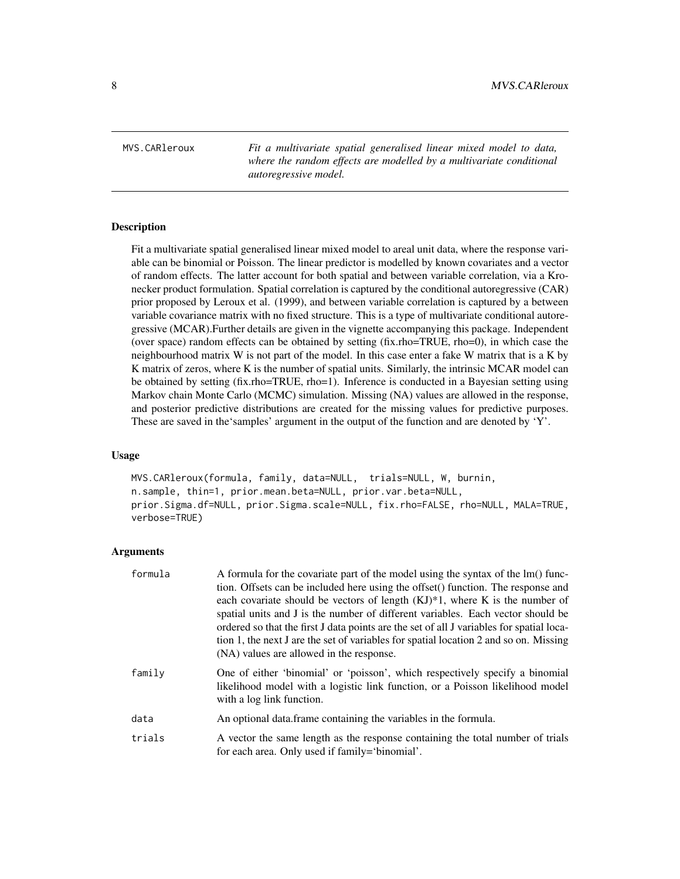<span id="page-7-0"></span>MVS.CARleroux *Fit a multivariate spatial generalised linear mixed model to data, where the random effects are modelled by a multivariate conditional autoregressive model.*

# **Description**

Fit a multivariate spatial generalised linear mixed model to areal unit data, where the response variable can be binomial or Poisson. The linear predictor is modelled by known covariates and a vector of random effects. The latter account for both spatial and between variable correlation, via a Kronecker product formulation. Spatial correlation is captured by the conditional autoregressive (CAR) prior proposed by Leroux et al. (1999), and between variable correlation is captured by a between variable covariance matrix with no fixed structure. This is a type of multivariate conditional autoregressive (MCAR).Further details are given in the vignette accompanying this package. Independent (over space) random effects can be obtained by setting (fix.rho=TRUE, rho=0), in which case the neighbourhood matrix W is not part of the model. In this case enter a fake W matrix that is a K by K matrix of zeros, where K is the number of spatial units. Similarly, the intrinsic MCAR model can be obtained by setting (fix.rho=TRUE, rho=1). Inference is conducted in a Bayesian setting using Markov chain Monte Carlo (MCMC) simulation. Missing (NA) values are allowed in the response, and posterior predictive distributions are created for the missing values for predictive purposes. These are saved in the'samples' argument in the output of the function and are denoted by 'Y'.

#### Usage

MVS.CARleroux(formula, family, data=NULL, trials=NULL, W, burnin, n.sample, thin=1, prior.mean.beta=NULL, prior.var.beta=NULL, prior.Sigma.df=NULL, prior.Sigma.scale=NULL, fix.rho=FALSE, rho=NULL, MALA=TRUE, verbose=TRUE)

| formula | A formula for the covariate part of the model using the syntax of the lm() func-<br>tion. Offsets can be included here using the offset() function. The response and<br>each covariate should be vectors of length $(KJ)^*1$ , where K is the number of<br>spatial units and J is the number of different variables. Each vector should be<br>ordered so that the first J data points are the set of all J variables for spatial loca-<br>tion 1, the next J are the set of variables for spatial location 2 and so on. Missing<br>(NA) values are allowed in the response. |
|---------|-----------------------------------------------------------------------------------------------------------------------------------------------------------------------------------------------------------------------------------------------------------------------------------------------------------------------------------------------------------------------------------------------------------------------------------------------------------------------------------------------------------------------------------------------------------------------------|
| family  | One of either 'binomial' or 'poisson', which respectively specify a binomial<br>likelihood model with a logistic link function, or a Poisson likelihood model<br>with a log link function.                                                                                                                                                                                                                                                                                                                                                                                  |
| data    | An optional data frame containing the variables in the formula.                                                                                                                                                                                                                                                                                                                                                                                                                                                                                                             |
| trials  | A vector the same length as the response containing the total number of trials<br>for each area. Only used if family='binomial'.                                                                                                                                                                                                                                                                                                                                                                                                                                            |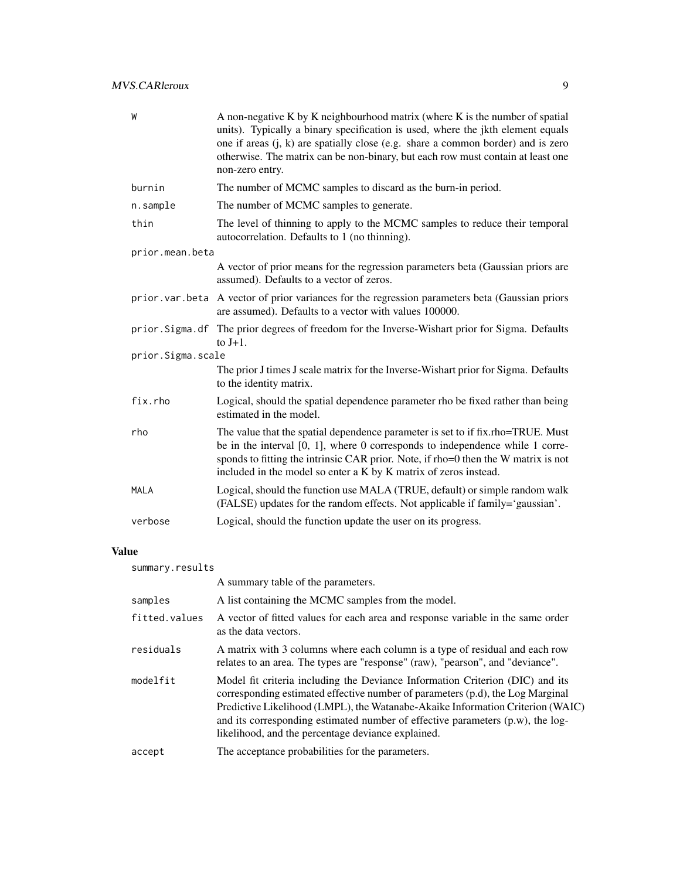| W                 | A non-negative K by K neighbourhood matrix (where K is the number of spatial<br>units). Typically a binary specification is used, where the jkth element equals<br>one if areas $(i, k)$ are spatially close (e.g. share a common border) and is zero<br>otherwise. The matrix can be non-binary, but each row must contain at least one<br>non-zero entry. |
|-------------------|-------------------------------------------------------------------------------------------------------------------------------------------------------------------------------------------------------------------------------------------------------------------------------------------------------------------------------------------------------------|
| burnin            | The number of MCMC samples to discard as the burn-in period.                                                                                                                                                                                                                                                                                                |
| n.sample          | The number of MCMC samples to generate.                                                                                                                                                                                                                                                                                                                     |
| thin              | The level of thinning to apply to the MCMC samples to reduce their temporal<br>autocorrelation. Defaults to 1 (no thinning).                                                                                                                                                                                                                                |
| prior.mean.beta   |                                                                                                                                                                                                                                                                                                                                                             |
|                   | A vector of prior means for the regression parameters beta (Gaussian priors are<br>assumed). Defaults to a vector of zeros.                                                                                                                                                                                                                                 |
|                   | prior var beta A vector of prior variances for the regression parameters beta (Gaussian priors<br>are assumed). Defaults to a vector with values 100000.                                                                                                                                                                                                    |
|                   | prior. Sigma. df The prior degrees of freedom for the Inverse-Wishart prior for Sigma. Defaults<br>to $J+1$ .                                                                                                                                                                                                                                               |
| prior.Sigma.scale |                                                                                                                                                                                                                                                                                                                                                             |
|                   | The prior J times J scale matrix for the Inverse-Wishart prior for Sigma. Defaults<br>to the identity matrix.                                                                                                                                                                                                                                               |
| fix.rho           | Logical, should the spatial dependence parameter rho be fixed rather than being<br>estimated in the model.                                                                                                                                                                                                                                                  |
| rho               | The value that the spatial dependence parameter is set to if fix.rho=TRUE. Must<br>be in the interval $[0, 1]$ , where 0 corresponds to independence while 1 corre-<br>sponds to fitting the intrinsic CAR prior. Note, if rho=0 then the W matrix is not<br>included in the model so enter a K by K matrix of zeros instead.                               |
| <b>MALA</b>       | Logical, should the function use MALA (TRUE, default) or simple random walk<br>(FALSE) updates for the random effects. Not applicable if family='gaussian'.                                                                                                                                                                                                 |
| verbose           | Logical, should the function update the user on its progress.                                                                                                                                                                                                                                                                                               |
|                   |                                                                                                                                                                                                                                                                                                                                                             |

# Value

| summary.results |                                                                                                                                                                                                                                                                                                                                                                                              |  |
|-----------------|----------------------------------------------------------------------------------------------------------------------------------------------------------------------------------------------------------------------------------------------------------------------------------------------------------------------------------------------------------------------------------------------|--|
|                 | A summary table of the parameters.                                                                                                                                                                                                                                                                                                                                                           |  |
| samples         | A list containing the MCMC samples from the model.                                                                                                                                                                                                                                                                                                                                           |  |
| fitted.values   | A vector of fitted values for each area and response variable in the same order<br>as the data vectors.                                                                                                                                                                                                                                                                                      |  |
| residuals       | A matrix with 3 columns where each column is a type of residual and each row<br>relates to an area. The types are "response" (raw), "pearson", and "deviance".                                                                                                                                                                                                                               |  |
| modelfit        | Model fit criteria including the Deviance Information Criterion (DIC) and its<br>corresponding estimated effective number of parameters (p.d), the Log Marginal<br>Predictive Likelihood (LMPL), the Watanabe-Akaike Information Criterion (WAIC)<br>and its corresponding estimated number of effective parameters $(p.w)$ , the log-<br>likelihood, and the percentage deviance explained. |  |
| accept          | The acceptance probabilities for the parameters.                                                                                                                                                                                                                                                                                                                                             |  |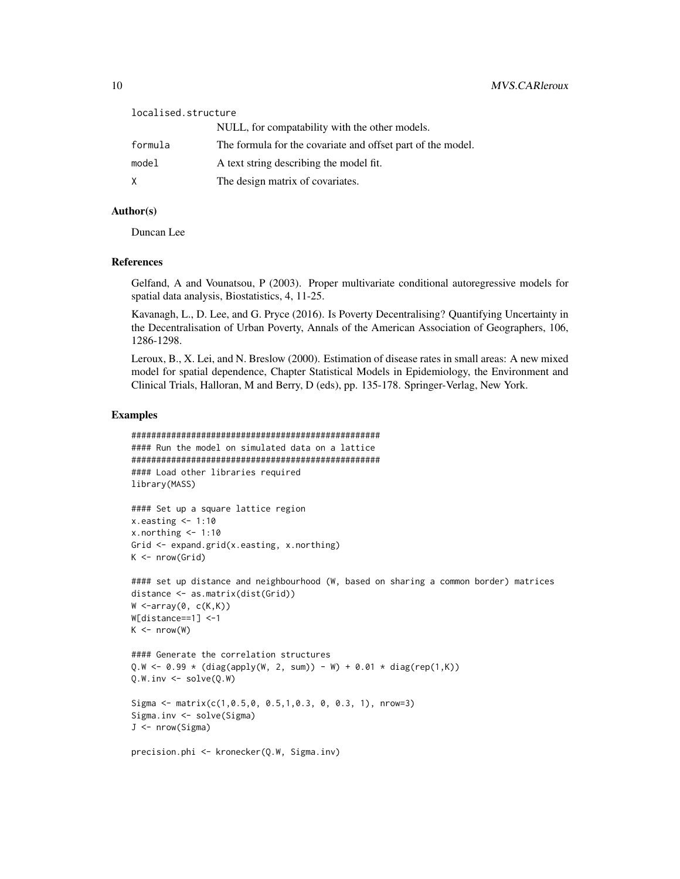| localised.structure |                                                             |
|---------------------|-------------------------------------------------------------|
|                     | NULL, for compatability with the other models.              |
| formula             | The formula for the covariate and offset part of the model. |
| model               | A text string describing the model fit.                     |
| X                   | The design matrix of covariates.                            |

#### Author(s)

Duncan Lee

# References

Gelfand, A and Vounatsou, P (2003). Proper multivariate conditional autoregressive models for spatial data analysis, Biostatistics, 4, 11-25.

Kavanagh, L., D. Lee, and G. Pryce (2016). Is Poverty Decentralising? Quantifying Uncertainty in the Decentralisation of Urban Poverty, Annals of the American Association of Geographers, 106, 1286-1298.

Leroux, B., X. Lei, and N. Breslow (2000). Estimation of disease rates in small areas: A new mixed model for spatial dependence, Chapter Statistical Models in Epidemiology, the Environment and Clinical Trials, Halloran, M and Berry, D (eds), pp. 135-178. Springer-Verlag, New York.

#### Examples

```
##################################################
#### Run the model on simulated data on a lattice
##################################################
#### Load other libraries required
library(MASS)
#### Set up a square lattice region
x.easting < -1:10x.northing < -1:10Grid <- expand.grid(x.easting, x.northing)
K \leftarrow \text{nrow}(\text{Grid})#### set up distance and neighbourhood (W, based on sharing a common border) matrices
distance <- as.matrix(dist(Grid))
W \leq -array(0, c(K,K))W[distance==1] <-1
K \le - nrow(W)#### Generate the correlation structures
Q.W < -0.99 * (diag(apply(W, 2, sum)) - W) + 0.01 * diag(rep(1,K))Q.W.inv \leftarrow solve(Q.W)Sigma <- matrix(c(1,0.5,0, 0.5,1,0.3, 0, 0.3, 1), nrow=3)
Sigma.inv <- solve(Sigma)
J <- nrow(Sigma)
precision.phi <- kronecker(Q.W, Sigma.inv)
```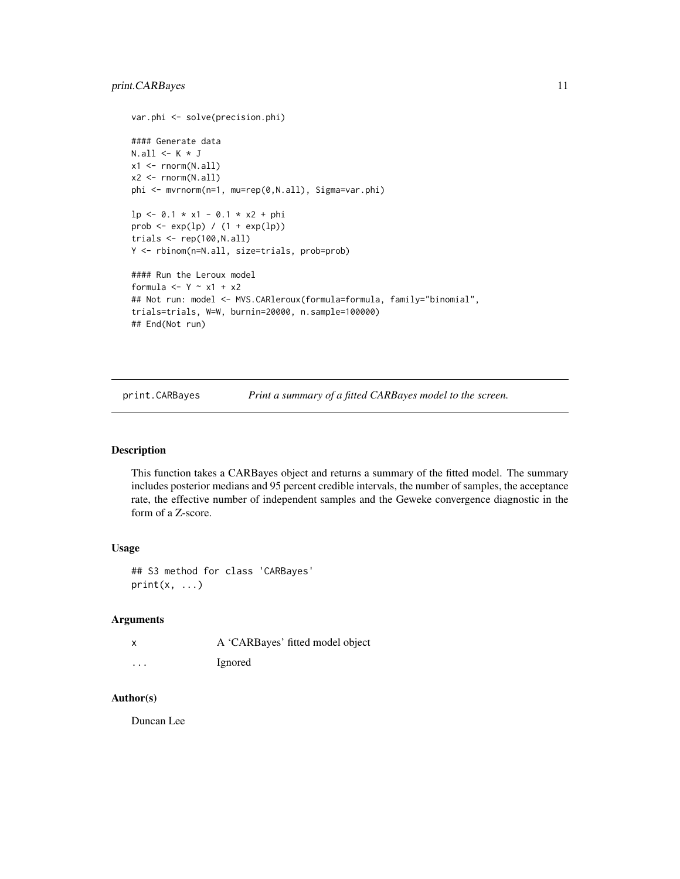```
var.phi <- solve(precision.phi)
#### Generate data
N.all \leq K * Jx1 \leftarrow \text{norm}(N.all)x2 \leftarrow \text{norm}(N.all)phi <- mvrnorm(n=1, mu=rep(0,N.all), Sigma=var.phi)
lp \leftarrow 0.1 * x1 - 0.1 * x2 + phiprob \leq -\exp(\ln) / (1 + \exp(\ln))trials <- rep(100,N.all)
Y <- rbinom(n=N.all, size=trials, prob=prob)
#### Run the Leroux model
formula <- Y - x1 + x2
## Not run: model <- MVS.CARleroux(formula=formula, family="binomial",
trials=trials, W=W, burnin=20000, n.sample=100000)
## End(Not run)
```
print.CARBayes *Print a summary of a fitted CARBayes model to the screen.*

#### Description

This function takes a CARBayes object and returns a summary of the fitted model. The summary includes posterior medians and 95 percent credible intervals, the number of samples, the acceptance rate, the effective number of independent samples and the Geweke convergence diagnostic in the form of a Z-score.

### Usage

## S3 method for class 'CARBayes'  $print(x, \ldots)$ 

#### Arguments

| x        | A 'CARBayes' fitted model object |
|----------|----------------------------------|
| $\cdots$ | Ignored                          |

### Author(s)

Duncan Lee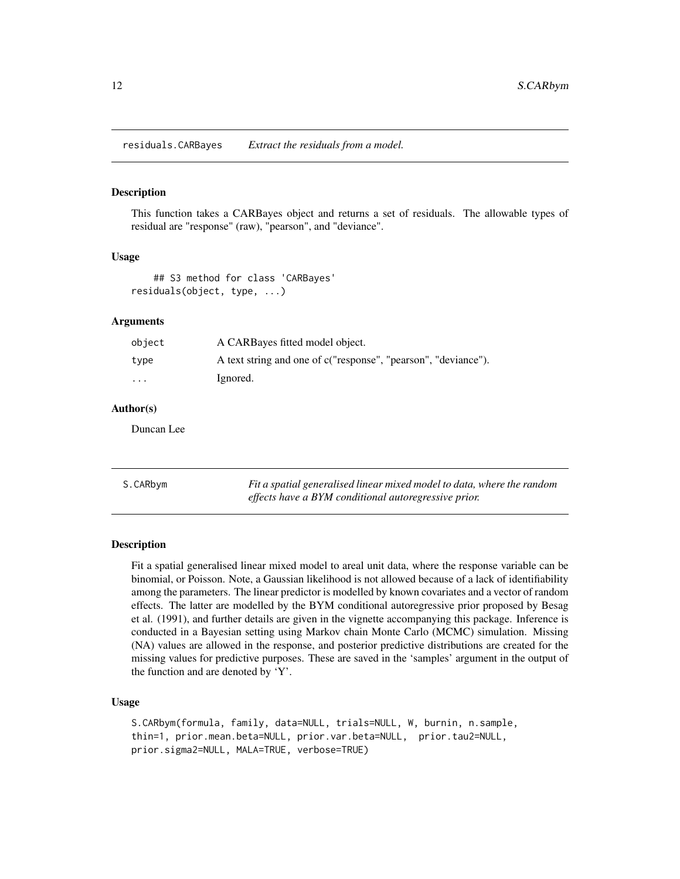<span id="page-11-0"></span>residuals.CARBayes *Extract the residuals from a model.*

#### Description

This function takes a CARBayes object and returns a set of residuals. The allowable types of residual are "response" (raw), "pearson", and "deviance".

#### Usage

```
## S3 method for class 'CARBayes'
residuals(object, type, ...)
```
### Arguments

| object | A CARBayes fitted model object.                                |
|--------|----------------------------------------------------------------|
| type   | A text string and one of c("response", "pearson", "deviance"). |
| .      | Ignored.                                                       |

# Author(s)

Duncan Lee

S.CARbym *Fit a spatial generalised linear mixed model to data, where the random effects have a BYM conditional autoregressive prior.*

#### Description

Fit a spatial generalised linear mixed model to areal unit data, where the response variable can be binomial, or Poisson. Note, a Gaussian likelihood is not allowed because of a lack of identifiability among the parameters. The linear predictor is modelled by known covariates and a vector of random effects. The latter are modelled by the BYM conditional autoregressive prior proposed by Besag et al. (1991), and further details are given in the vignette accompanying this package. Inference is conducted in a Bayesian setting using Markov chain Monte Carlo (MCMC) simulation. Missing (NA) values are allowed in the response, and posterior predictive distributions are created for the missing values for predictive purposes. These are saved in the 'samples' argument in the output of the function and are denoted by 'Y'.

#### Usage

```
S.CARbym(formula, family, data=NULL, trials=NULL, W, burnin, n.sample,
thin=1, prior.mean.beta=NULL, prior.var.beta=NULL, prior.tau2=NULL,
prior.sigma2=NULL, MALA=TRUE, verbose=TRUE)
```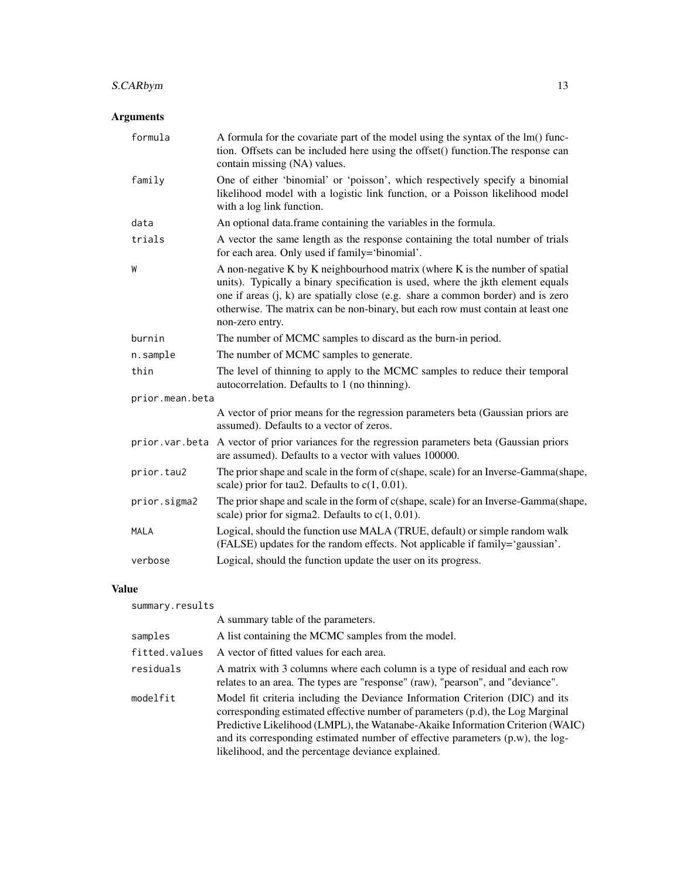# S.CARbym 13

# Arguments

| formula         | A formula for the covariate part of the model using the syntax of the lm() func-<br>tion. Offsets can be included here using the offset() function. The response can<br>contain missing (NA) values.                                                                                                                                                      |
|-----------------|-----------------------------------------------------------------------------------------------------------------------------------------------------------------------------------------------------------------------------------------------------------------------------------------------------------------------------------------------------------|
| family          | One of either 'binomial' or 'poisson', which respectively specify a binomial<br>likelihood model with a logistic link function, or a Poisson likelihood model<br>with a log link function.                                                                                                                                                                |
| data            | An optional data.frame containing the variables in the formula.                                                                                                                                                                                                                                                                                           |
| trials          | A vector the same length as the response containing the total number of trials<br>for each area. Only used if family='binomial'.                                                                                                                                                                                                                          |
| W               | A non-negative K by K neighbourhood matrix (where K is the number of spatial<br>units). Typically a binary specification is used, where the jkth element equals<br>one if areas (j, k) are spatially close (e.g. share a common border) and is zero<br>otherwise. The matrix can be non-binary, but each row must contain at least one<br>non-zero entry. |
| burnin          | The number of MCMC samples to discard as the burn-in period.                                                                                                                                                                                                                                                                                              |
| n.sample        | The number of MCMC samples to generate.                                                                                                                                                                                                                                                                                                                   |
| thin            | The level of thinning to apply to the MCMC samples to reduce their temporal<br>autocorrelation. Defaults to 1 (no thinning).                                                                                                                                                                                                                              |
| prior.mean.beta |                                                                                                                                                                                                                                                                                                                                                           |
|                 | A vector of prior means for the regression parameters beta (Gaussian priors are<br>assumed). Defaults to a vector of zeros.                                                                                                                                                                                                                               |
|                 | prior. var.beta A vector of prior variances for the regression parameters beta (Gaussian priors<br>are assumed). Defaults to a vector with values 100000.                                                                                                                                                                                                 |
| prior.tau2      | The prior shape and scale in the form of c(shape, scale) for an Inverse-Gamma(shape,<br>scale) prior for tau2. Defaults to $c(1, 0.01)$ .                                                                                                                                                                                                                 |
| prior.sigma2    | The prior shape and scale in the form of c(shape, scale) for an Inverse-Gamma(shape,<br>scale) prior for sigma2. Defaults to $c(1, 0.01)$ .                                                                                                                                                                                                               |
| <b>MALA</b>     | Logical, should the function use MALA (TRUE, default) or simple random walk<br>(FALSE) updates for the random effects. Not applicable if family='gaussian'.                                                                                                                                                                                               |
| verbose         | Logical, should the function update the user on its progress.                                                                                                                                                                                                                                                                                             |

# Value

| summary.results |                                                                                                                                                                                                                                                                                                                                                                                              |
|-----------------|----------------------------------------------------------------------------------------------------------------------------------------------------------------------------------------------------------------------------------------------------------------------------------------------------------------------------------------------------------------------------------------------|
|                 | A summary table of the parameters.                                                                                                                                                                                                                                                                                                                                                           |
| samples         | A list containing the MCMC samples from the model.                                                                                                                                                                                                                                                                                                                                           |
| fitted.values   | A vector of fitted values for each area.                                                                                                                                                                                                                                                                                                                                                     |
| residuals       | A matrix with 3 columns where each column is a type of residual and each row<br>relates to an area. The types are "response" (raw), "pearson", and "deviance".                                                                                                                                                                                                                               |
| modelfit        | Model fit criteria including the Deviance Information Criterion (DIC) and its<br>corresponding estimated effective number of parameters (p.d), the Log Marginal<br>Predictive Likelihood (LMPL), the Watanabe-Akaike Information Criterion (WAIC)<br>and its corresponding estimated number of effective parameters $(p.w)$ , the log-<br>likelihood, and the percentage deviance explained. |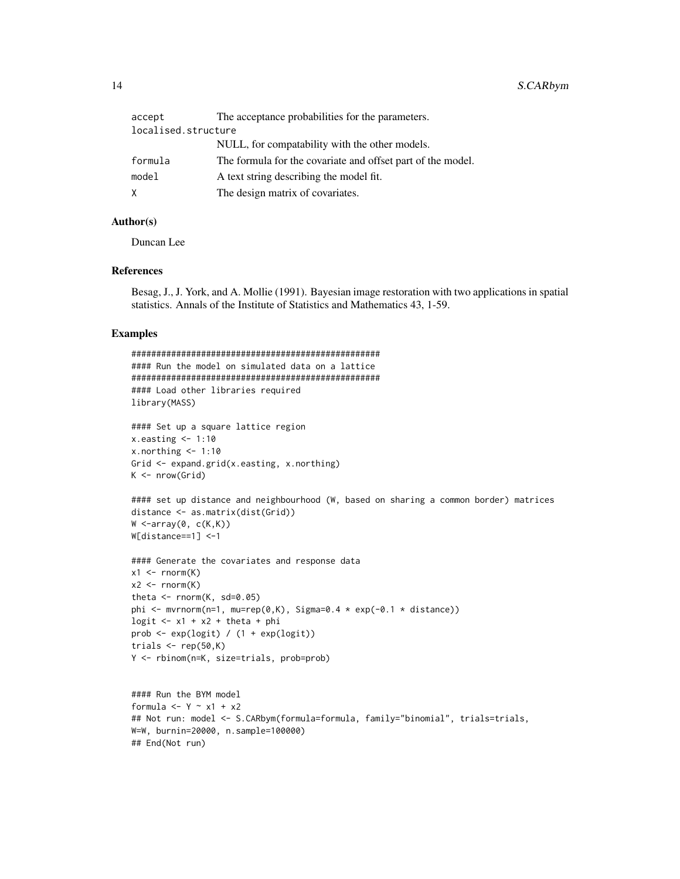| accept              | The acceptance probabilities for the parameters.            |
|---------------------|-------------------------------------------------------------|
| localised.structure |                                                             |
|                     | NULL, for compatability with the other models.              |
| formula             | The formula for the covariate and offset part of the model. |
| model               | A text string describing the model fit.                     |
| X.                  | The design matrix of covariates.                            |

#### Author(s)

Duncan Lee

## End(Not run)

#### References

Besag, J., J. York, and A. Mollie (1991). Bayesian image restoration with two applications in spatial statistics. Annals of the Institute of Statistics and Mathematics 43, 1-59.

#### Examples

```
##################################################
#### Run the model on simulated data on a lattice
##################################################
#### Load other libraries required
library(MASS)
#### Set up a square lattice region
x.easting < -1:10x.northing < -1:10Grid <- expand.grid(x.easting, x.northing)
K \leftarrow \text{nrow}(\text{Grid})#### set up distance and neighbourhood (W, based on sharing a common border) matrices
distance <- as.matrix(dist(Grid))
W \leftarrow \text{array}(\emptyset, c(K,K))W[distance==1] <-1
#### Generate the covariates and response data
x1 \leftarrow \text{rnorm}(K)x2 \le rnorm(K)theta \leq rnorm(K, sd=0.05)
phi <- mvrnorm(n=1, mu=rep(0,K), Sigma=0.4 * exp(-0.1 * distance))
logit \leq -x_1 + x_2 + \text{theta} + \text{phi}prob <- exp(logit) / (1 + exp(logit))
trials \leq rep(50,K)
Y <- rbinom(n=K, size=trials, prob=prob)
#### Run the BYM model
formula <- Y \sim x1 + x2
## Not run: model <- S.CARbym(formula=formula, family="binomial", trials=trials,
W=W, burnin=20000, n.sample=100000)
```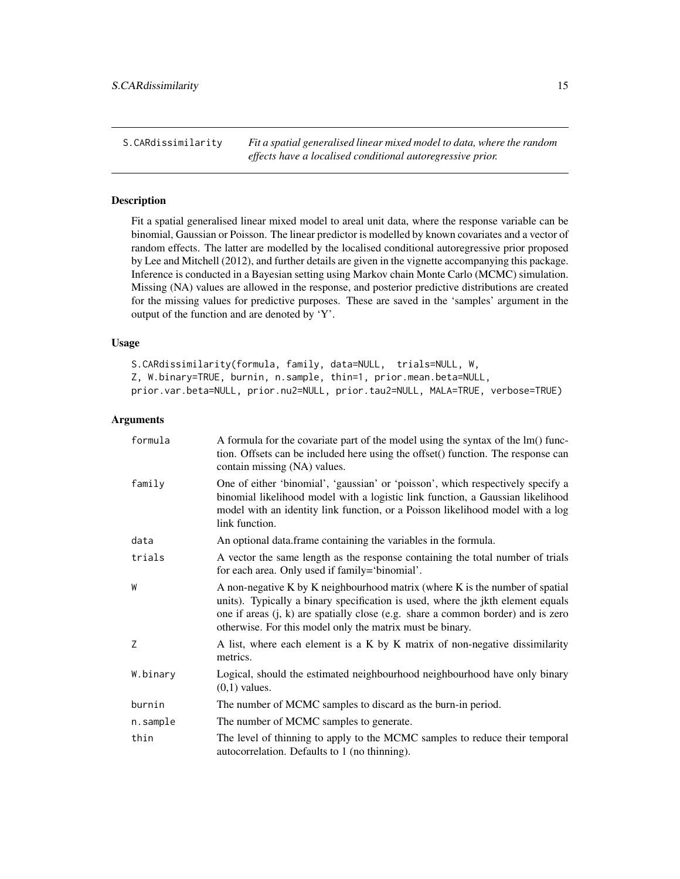<span id="page-14-0"></span>S.CARdissimilarity *Fit a spatial generalised linear mixed model to data, where the random effects have a localised conditional autoregressive prior.*

# Description

Fit a spatial generalised linear mixed model to areal unit data, where the response variable can be binomial, Gaussian or Poisson. The linear predictor is modelled by known covariates and a vector of random effects. The latter are modelled by the localised conditional autoregressive prior proposed by Lee and Mitchell (2012), and further details are given in the vignette accompanying this package. Inference is conducted in a Bayesian setting using Markov chain Monte Carlo (MCMC) simulation. Missing (NA) values are allowed in the response, and posterior predictive distributions are created for the missing values for predictive purposes. These are saved in the 'samples' argument in the output of the function and are denoted by 'Y'.

#### Usage

S.CARdissimilarity(formula, family, data=NULL, trials=NULL, W, Z, W.binary=TRUE, burnin, n.sample, thin=1, prior.mean.beta=NULL, prior.var.beta=NULL, prior.nu2=NULL, prior.tau2=NULL, MALA=TRUE, verbose=TRUE)

| formula  | A formula for the covariate part of the model using the syntax of the lm() func-<br>tion. Offsets can be included here using the offset() function. The response can<br>contain missing (NA) values.                                                                                                               |
|----------|--------------------------------------------------------------------------------------------------------------------------------------------------------------------------------------------------------------------------------------------------------------------------------------------------------------------|
| family   | One of either 'binomial', 'gaussian' or 'poisson', which respectively specify a<br>binomial likelihood model with a logistic link function, a Gaussian likelihood<br>model with an identity link function, or a Poisson likelihood model with a log<br>link function.                                              |
| data     | An optional data.frame containing the variables in the formula.                                                                                                                                                                                                                                                    |
| trials   | A vector the same length as the response containing the total number of trials<br>for each area. Only used if family='binomial'.                                                                                                                                                                                   |
| W        | A non-negative K by K neighbourhood matrix (where K is the number of spatial<br>units). Typically a binary specification is used, where the jkth element equals<br>one if areas $(i, k)$ are spatially close (e.g. share a common border) and is zero<br>otherwise. For this model only the matrix must be binary. |
| Z        | A list, where each element is a K by K matrix of non-negative dissimilarity<br>metrics.                                                                                                                                                                                                                            |
| W.binary | Logical, should the estimated neighbourhood neighbourhood have only binary<br>$(0,1)$ values.                                                                                                                                                                                                                      |
| burnin   | The number of MCMC samples to discard as the burn-in period.                                                                                                                                                                                                                                                       |
| n.sample | The number of MCMC samples to generate.                                                                                                                                                                                                                                                                            |
| thin     | The level of thinning to apply to the MCMC samples to reduce their temporal<br>autocorrelation. Defaults to 1 (no thinning).                                                                                                                                                                                       |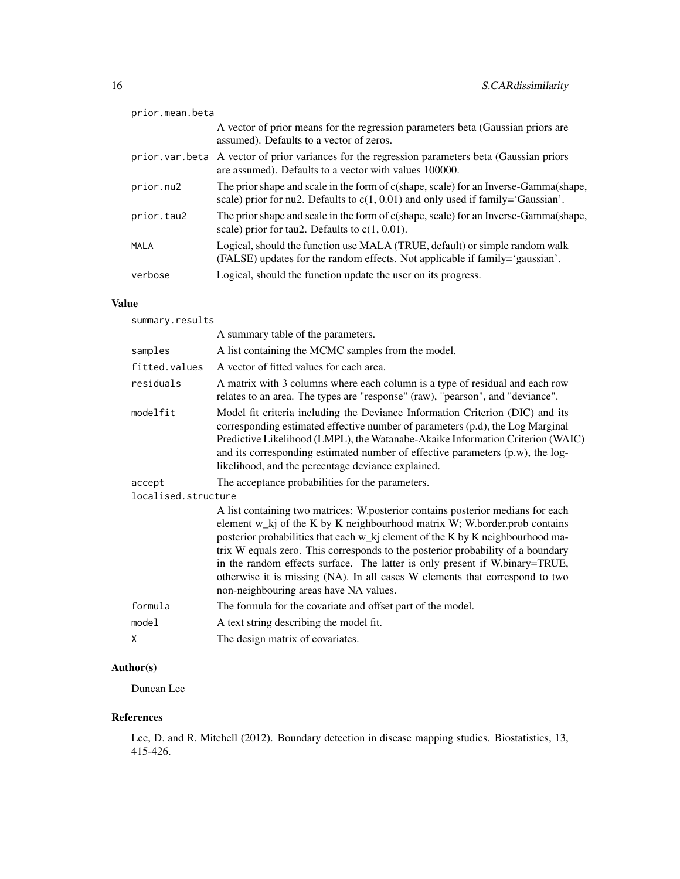| prior.mean.beta |                                                                                                                                                                            |
|-----------------|----------------------------------------------------------------------------------------------------------------------------------------------------------------------------|
|                 | A vector of prior means for the regression parameters beta (Gaussian priors are<br>assumed). Defaults to a vector of zeros.                                                |
|                 | prior var beta A vector of prior variances for the regression parameters beta (Gaussian priors<br>are assumed). Defaults to a vector with values 100000.                   |
| prior.nu2       | The prior shape and scale in the form of c(shape, scale) for an Inverse-Gamma(shape,<br>scale) prior for nu2. Defaults to $c(1, 0.01)$ and only used if family='Gaussian'. |
| prior.tau2      | The prior shape and scale in the form of c(shape, scale) for an Inverse-Gamma(shape,<br>scale) prior for tau2. Defaults to $c(1, 0.01)$ .                                  |
| MALA            | Logical, should the function use MALA (TRUE, default) or simple random walk<br>(FALSE) updates for the random effects. Not applicable if family='gaussian'.                |
| verbose         | Logical, should the function update the user on its progress.                                                                                                              |
|                 |                                                                                                                                                                            |

#### Value

summary.results A summary table of the parameters. samples A list containing the MCMC samples from the model. fitted.values A vector of fitted values for each area. residuals A matrix with 3 columns where each column is a type of residual and each row relates to an area. The types are "response" (raw), "pearson", and "deviance". modelfit Model fit criteria including the Deviance Information Criterion (DIC) and its corresponding estimated effective number of parameters (p.d), the Log Marginal Predictive Likelihood (LMPL), the Watanabe-Akaike Information Criterion (WAIC) and its corresponding estimated number of effective parameters (p.w), the loglikelihood, and the percentage deviance explained. accept The acceptance probabilities for the parameters. localised.structure A list containing two matrices: W.posterior contains posterior medians for each element w\_kj of the K by K neighbourhood matrix W; W.border.prob contains posterior probabilities that each w\_kj element of the K by K neighbourhood matrix W equals zero. This corresponds to the posterior probability of a boundary in the random effects surface. The latter is only present if W.binary=TRUE, otherwise it is missing (NA). In all cases W elements that correspond to two non-neighbouring areas have NA values. formula The formula for the covariate and offset part of the model. model A text string describing the model fit. X The design matrix of covariates.

#### Author(s)

Duncan Lee

#### References

Lee, D. and R. Mitchell (2012). Boundary detection in disease mapping studies. Biostatistics, 13, 415-426.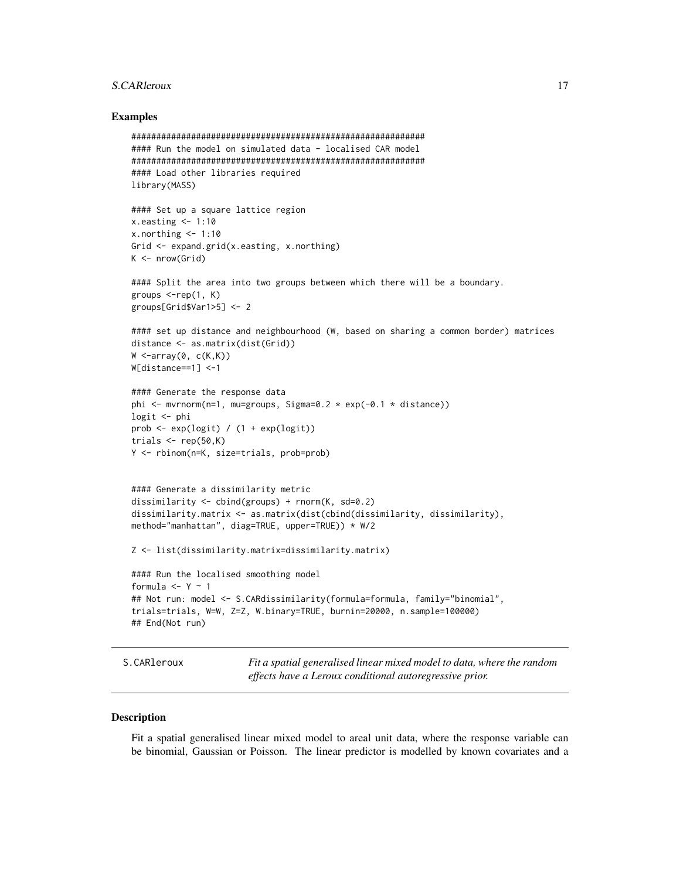#### <span id="page-16-0"></span>S.CARleroux 17

#### Examples

```
###########################################################
#### Run the model on simulated data - localised CAR model
###########################################################
#### Load other libraries required
library(MASS)
#### Set up a square lattice region
x.easting < -1:10x.northing < -1:10Grid <- expand.grid(x.easting, x.northing)
K \leftarrow \text{nrow}(Grid)#### Split the area into two groups between which there will be a boundary.
groups \leq-rep(1, K)groups[Grid$Var1>5] <- 2
#### set up distance and neighbourhood (W, based on sharing a common border) matrices
distance <- as.matrix(dist(Grid))
W \leq -array(0, c(K,K))W[distance==1] <-1
#### Generate the response data
phi \leq mvrnorm(n=1, mu=groups, Sigma=0.2 * exp(-0.1 * distance))
logit <- phi
prob <- exp(logit) / (1 + exp(logit))
trials \leq rep(50,K)
Y <- rbinom(n=K, size=trials, prob=prob)
#### Generate a dissimilarity metric
dissimilarity <- cbind(groups) + rnorm(K, sd=0.2)
dissimilarity.matrix <- as.matrix(dist(cbind(dissimilarity, dissimilarity),
method="manhattan", diag=TRUE, upper=TRUE)) * W/2
Z <- list(dissimilarity.matrix=dissimilarity.matrix)
#### Run the localised smoothing model
formula <- Y -1## Not run: model <- S.CARdissimilarity(formula=formula, family="binomial",
trials=trials, W=W, Z=Z, W.binary=TRUE, burnin=20000, n.sample=100000)
## End(Not run)
```
S.CARleroux *Fit a spatial generalised linear mixed model to data, where the random effects have a Leroux conditional autoregressive prior.*

#### **Description**

Fit a spatial generalised linear mixed model to areal unit data, where the response variable can be binomial, Gaussian or Poisson. The linear predictor is modelled by known covariates and a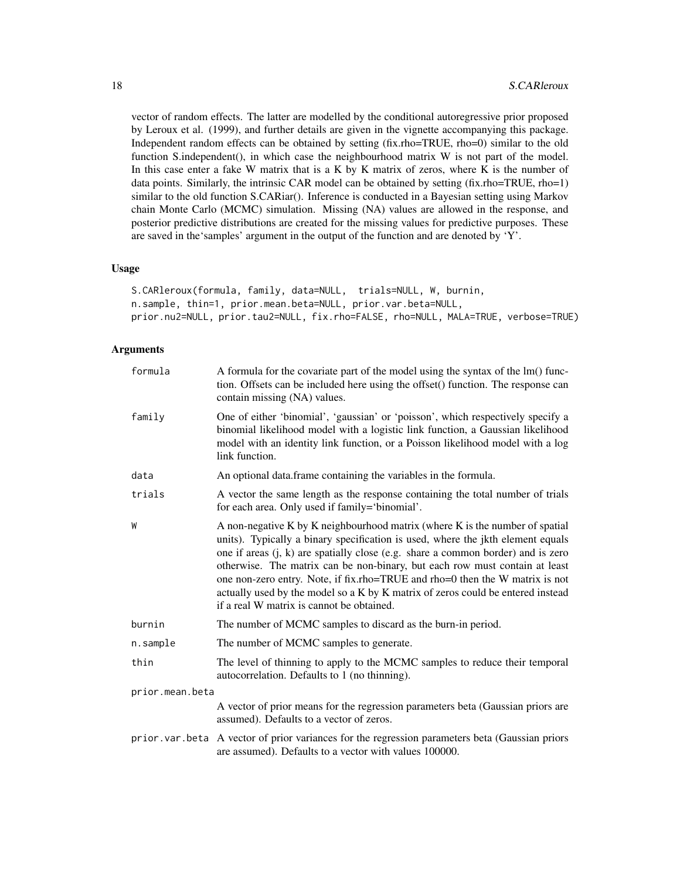vector of random effects. The latter are modelled by the conditional autoregressive prior proposed by Leroux et al. (1999), and further details are given in the vignette accompanying this package. Independent random effects can be obtained by setting (fix.rho=TRUE, rho=0) similar to the old function S.independent(), in which case the neighbourhood matrix W is not part of the model. In this case enter a fake W matrix that is a K by K matrix of zeros, where K is the number of data points. Similarly, the intrinsic CAR model can be obtained by setting (fix.rho=TRUE, rho=1) similar to the old function S.CARiar(). Inference is conducted in a Bayesian setting using Markov chain Monte Carlo (MCMC) simulation. Missing (NA) values are allowed in the response, and posterior predictive distributions are created for the missing values for predictive purposes. These are saved in the'samples' argument in the output of the function and are denoted by 'Y'.

#### Usage

```
S.CARleroux(formula, family, data=NULL, trials=NULL, W, burnin,
n.sample, thin=1, prior.mean.beta=NULL, prior.var.beta=NULL,
prior.nu2=NULL, prior.tau2=NULL, fix.rho=FALSE, rho=NULL, MALA=TRUE, verbose=TRUE)
```

| formula         | A formula for the covariate part of the model using the syntax of the lm() func-<br>tion. Offsets can be included here using the offset() function. The response can<br>contain missing (NA) values.                                                                                                                                                                                                                                                                                                                                                 |
|-----------------|------------------------------------------------------------------------------------------------------------------------------------------------------------------------------------------------------------------------------------------------------------------------------------------------------------------------------------------------------------------------------------------------------------------------------------------------------------------------------------------------------------------------------------------------------|
| family          | One of either 'binomial', 'gaussian' or 'poisson', which respectively specify a<br>binomial likelihood model with a logistic link function, a Gaussian likelihood<br>model with an identity link function, or a Poisson likelihood model with a log<br>link function.                                                                                                                                                                                                                                                                                |
| data            | An optional data.frame containing the variables in the formula.                                                                                                                                                                                                                                                                                                                                                                                                                                                                                      |
| trials          | A vector the same length as the response containing the total number of trials<br>for each area. Only used if family='binomial'.                                                                                                                                                                                                                                                                                                                                                                                                                     |
| W               | A non-negative K by K neighbourhood matrix (where K is the number of spatial<br>units). Typically a binary specification is used, where the jkth element equals<br>one if areas $(j, k)$ are spatially close (e.g. share a common border) and is zero<br>otherwise. The matrix can be non-binary, but each row must contain at least<br>one non-zero entry. Note, if fix.rho=TRUE and rho=0 then the W matrix is not<br>actually used by the model so a K by K matrix of zeros could be entered instead<br>if a real W matrix is cannot be obtained. |
| burnin          | The number of MCMC samples to discard as the burn-in period.                                                                                                                                                                                                                                                                                                                                                                                                                                                                                         |
| n.sample        | The number of MCMC samples to generate.                                                                                                                                                                                                                                                                                                                                                                                                                                                                                                              |
| thin            | The level of thinning to apply to the MCMC samples to reduce their temporal<br>autocorrelation. Defaults to 1 (no thinning).                                                                                                                                                                                                                                                                                                                                                                                                                         |
| prior.mean.beta |                                                                                                                                                                                                                                                                                                                                                                                                                                                                                                                                                      |
|                 | A vector of prior means for the regression parameters beta (Gaussian priors are<br>assumed). Defaults to a vector of zeros.                                                                                                                                                                                                                                                                                                                                                                                                                          |
|                 | prior. var. beta A vector of prior variances for the regression parameters beta (Gaussian priors<br>are assumed). Defaults to a vector with values 100000.                                                                                                                                                                                                                                                                                                                                                                                           |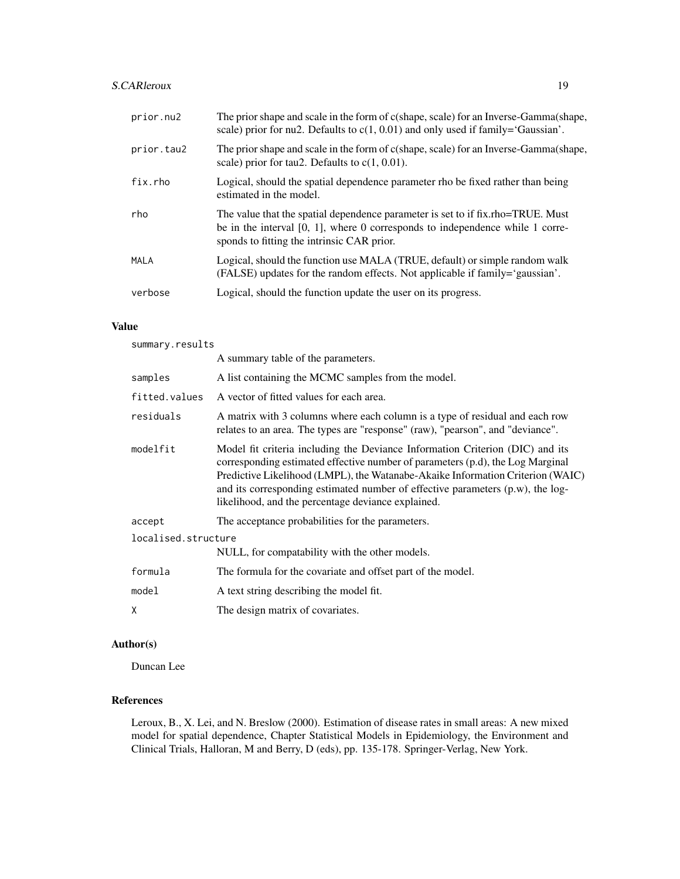# S.CARleroux 19

| The prior shape and scale in the form of c(shape, scale) for an Inverse-Gamma(shape,<br>scale) prior for nu2. Defaults to $c(1, 0.01)$ and only used if family='Gaussian'.                                        |
|-------------------------------------------------------------------------------------------------------------------------------------------------------------------------------------------------------------------|
| The prior shape and scale in the form of c(shape, scale) for an Inverse-Gamma(shape,<br>scale) prior for tau2. Defaults to $c(1, 0.01)$ .                                                                         |
| Logical, should the spatial dependence parameter rho be fixed rather than being<br>estimated in the model.                                                                                                        |
| The value that the spatial dependence parameter is set to if fix.rho=TRUE. Must<br>be in the interval $[0, 1]$ , where 0 corresponds to independence while 1 corre-<br>sponds to fitting the intrinsic CAR prior. |
|                                                                                                                                                                                                                   |
| Logical, should the function use MALA (TRUE, default) or simple random walk<br>(FALSE) updates for the random effects. Not applicable if family='gaussian'.                                                       |
|                                                                                                                                                                                                                   |

### Value

summary.results

| A summary table of the parameters.                                                                                                                                                                                                                                                                                                                                                           |  |
|----------------------------------------------------------------------------------------------------------------------------------------------------------------------------------------------------------------------------------------------------------------------------------------------------------------------------------------------------------------------------------------------|--|
| A list containing the MCMC samples from the model.                                                                                                                                                                                                                                                                                                                                           |  |
| A vector of fitted values for each area.                                                                                                                                                                                                                                                                                                                                                     |  |
| A matrix with 3 columns where each column is a type of residual and each row<br>relates to an area. The types are "response" (raw), "pearson", and "deviance".                                                                                                                                                                                                                               |  |
| Model fit criteria including the Deviance Information Criterion (DIC) and its<br>corresponding estimated effective number of parameters (p.d), the Log Marginal<br>Predictive Likelihood (LMPL), the Watanabe-Akaike Information Criterion (WAIC)<br>and its corresponding estimated number of effective parameters $(p.w)$ , the log-<br>likelihood, and the percentage deviance explained. |  |
| The acceptance probabilities for the parameters.                                                                                                                                                                                                                                                                                                                                             |  |
| localised.structure<br>NULL, for compatability with the other models.                                                                                                                                                                                                                                                                                                                        |  |
| The formula for the covariate and offset part of the model.                                                                                                                                                                                                                                                                                                                                  |  |
| A text string describing the model fit.                                                                                                                                                                                                                                                                                                                                                      |  |
| The design matrix of covariates.                                                                                                                                                                                                                                                                                                                                                             |  |
|                                                                                                                                                                                                                                                                                                                                                                                              |  |

# Author(s)

Duncan Lee

# References

Leroux, B., X. Lei, and N. Breslow (2000). Estimation of disease rates in small areas: A new mixed model for spatial dependence, Chapter Statistical Models in Epidemiology, the Environment and Clinical Trials, Halloran, M and Berry, D (eds), pp. 135-178. Springer-Verlag, New York.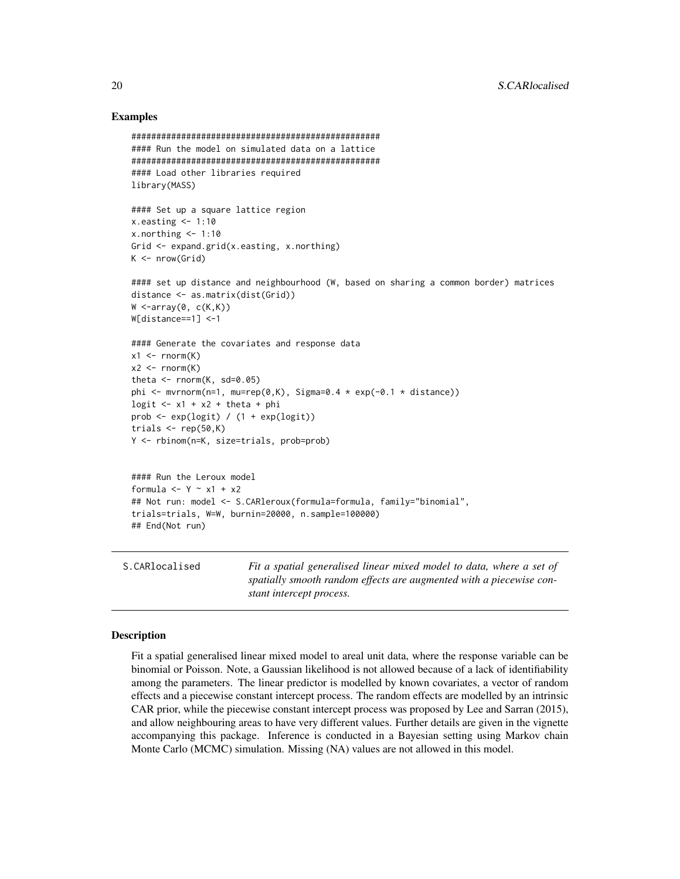#### Examples

```
##################################################
#### Run the model on simulated data on a lattice
##################################################
#### Load other libraries required
library(MASS)
#### Set up a square lattice region
x.easting < -1:10x.northing < -1:10Grid <- expand.grid(x.easting, x.northing)
K \leftarrow \text{nrow}(Grid)#### set up distance and neighbourhood (W, based on sharing a common border) matrices
distance <- as.matrix(dist(Grid))
W \leq -array(0, c(K,K))W[distance==1] <-1
#### Generate the covariates and response data
x1 \leftarrow \text{rnorm}(K)x2 \le - rnorm(K)theta \leq rnorm(K, sd=0.05)
phi \leq mvrnorm(n=1, mu=rep(0,K), Sigma=0.4 \star exp(-0.1 \star distance))
logit \leq x_1 + x_2 + \text{theta } + \text{phi}prob <- exp(logit) / (1 + exp(logit))
trials \leq rep(50,K)
Y <- rbinom(n=K, size=trials, prob=prob)
#### Run the Leroux model
formula <- Y - x1 + x2
## Not run: model <- S.CARleroux(formula=formula, family="binomial",
trials=trials, W=W, burnin=20000, n.sample=100000)
## End(Not run)
```
# Description

Fit a spatial generalised linear mixed model to areal unit data, where the response variable can be binomial or Poisson. Note, a Gaussian likelihood is not allowed because of a lack of identifiability among the parameters. The linear predictor is modelled by known covariates, a vector of random effects and a piecewise constant intercept process. The random effects are modelled by an intrinsic CAR prior, while the piecewise constant intercept process was proposed by Lee and Sarran (2015), and allow neighbouring areas to have very different values. Further details are given in the vignette accompanying this package. Inference is conducted in a Bayesian setting using Markov chain Monte Carlo (MCMC) simulation. Missing (NA) values are not allowed in this model.

S.CARlocalised *Fit a spatial generalised linear mixed model to data, where a set of*

*stant intercept process.*

*spatially smooth random effects are augmented with a piecewise con-*

<span id="page-19-0"></span>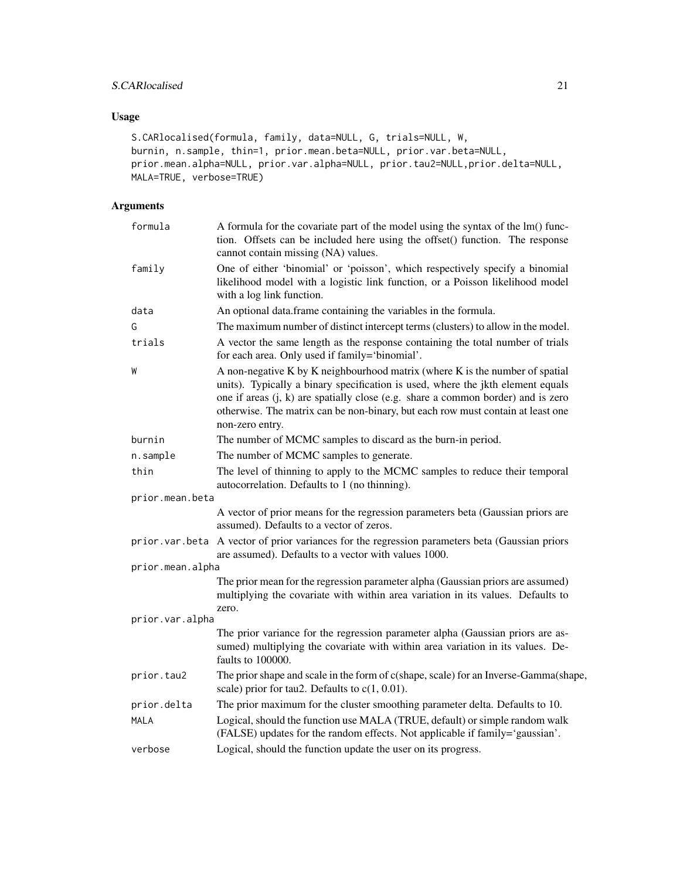# S.CARlocalised 21

# Usage

```
S.CARlocalised(formula, family, data=NULL, G, trials=NULL, W,
burnin, n.sample, thin=1, prior.mean.beta=NULL, prior.var.beta=NULL,
prior.mean.alpha=NULL, prior.var.alpha=NULL, prior.tau2=NULL,prior.delta=NULL,
MALA=TRUE, verbose=TRUE)
```

| formula          | A formula for the covariate part of the model using the syntax of the lm() func-<br>tion. Offsets can be included here using the offset() function. The response<br>cannot contain missing (NA) values.                                                                                                                                                   |
|------------------|-----------------------------------------------------------------------------------------------------------------------------------------------------------------------------------------------------------------------------------------------------------------------------------------------------------------------------------------------------------|
| family           | One of either 'binomial' or 'poisson', which respectively specify a binomial<br>likelihood model with a logistic link function, or a Poisson likelihood model<br>with a log link function.                                                                                                                                                                |
| data             | An optional data.frame containing the variables in the formula.                                                                                                                                                                                                                                                                                           |
| G                | The maximum number of distinct intercept terms (clusters) to allow in the model.                                                                                                                                                                                                                                                                          |
| trials           | A vector the same length as the response containing the total number of trials<br>for each area. Only used if family='binomial'.                                                                                                                                                                                                                          |
| W                | A non-negative K by K neighbourhood matrix (where K is the number of spatial<br>units). Typically a binary specification is used, where the jkth element equals<br>one if areas (j, k) are spatially close (e.g. share a common border) and is zero<br>otherwise. The matrix can be non-binary, but each row must contain at least one<br>non-zero entry. |
| burnin           | The number of MCMC samples to discard as the burn-in period.                                                                                                                                                                                                                                                                                              |
| n.sample         | The number of MCMC samples to generate.                                                                                                                                                                                                                                                                                                                   |
| thin             | The level of thinning to apply to the MCMC samples to reduce their temporal<br>autocorrelation. Defaults to 1 (no thinning).                                                                                                                                                                                                                              |
| prior.mean.beta  |                                                                                                                                                                                                                                                                                                                                                           |
|                  | A vector of prior means for the regression parameters beta (Gaussian priors are<br>assumed). Defaults to a vector of zeros.                                                                                                                                                                                                                               |
|                  | prior. var. beta A vector of prior variances for the regression parameters beta (Gaussian priors<br>are assumed). Defaults to a vector with values 1000.                                                                                                                                                                                                  |
| prior.mean.alpha |                                                                                                                                                                                                                                                                                                                                                           |
|                  | The prior mean for the regression parameter alpha (Gaussian priors are assumed)<br>multiplying the covariate with within area variation in its values. Defaults to<br>zero.                                                                                                                                                                               |
| prior.var.alpha  |                                                                                                                                                                                                                                                                                                                                                           |
|                  | The prior variance for the regression parameter alpha (Gaussian priors are as-<br>sumed) multiplying the covariate with within area variation in its values. De-<br>faults to 100000.                                                                                                                                                                     |
| prior.tau2       | The prior shape and scale in the form of c(shape, scale) for an Inverse-Gamma(shape,<br>scale) prior for tau2. Defaults to $c(1, 0.01)$ .                                                                                                                                                                                                                 |
| prior.delta      | The prior maximum for the cluster smoothing parameter delta. Defaults to 10.                                                                                                                                                                                                                                                                              |
| MALA             | Logical, should the function use MALA (TRUE, default) or simple random walk<br>(FALSE) updates for the random effects. Not applicable if family='gaussian'.                                                                                                                                                                                               |
| verbose          | Logical, should the function update the user on its progress.                                                                                                                                                                                                                                                                                             |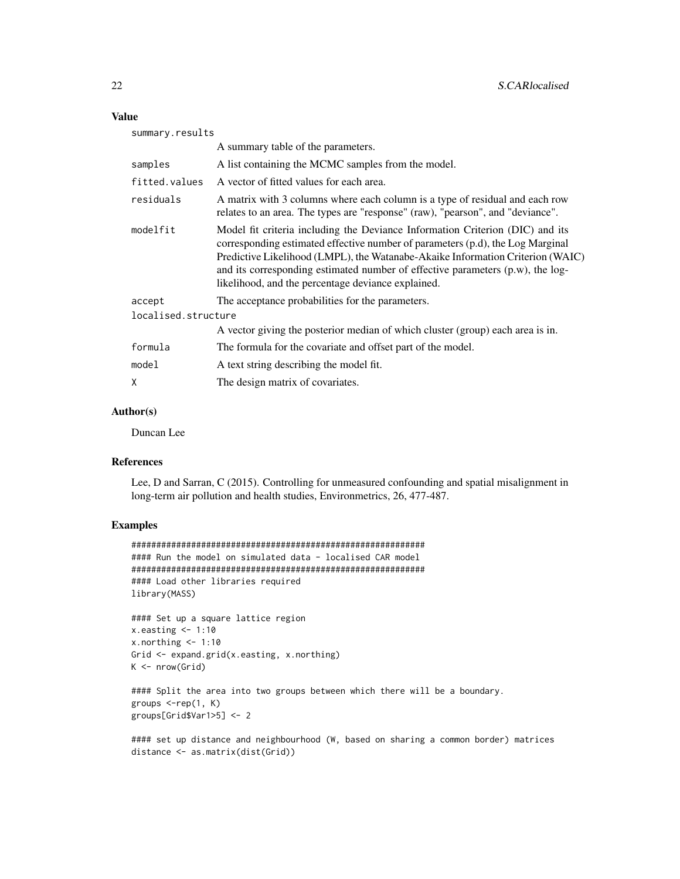#### Value

| summary.results     |                                                                                                                                                                                                                                                                                                                                                                                           |  |
|---------------------|-------------------------------------------------------------------------------------------------------------------------------------------------------------------------------------------------------------------------------------------------------------------------------------------------------------------------------------------------------------------------------------------|--|
|                     | A summary table of the parameters.                                                                                                                                                                                                                                                                                                                                                        |  |
| samples             | A list containing the MCMC samples from the model.                                                                                                                                                                                                                                                                                                                                        |  |
| fitted.values       | A vector of fitted values for each area.                                                                                                                                                                                                                                                                                                                                                  |  |
| residuals           | A matrix with 3 columns where each column is a type of residual and each row<br>relates to an area. The types are "response" (raw), "pearson", and "deviance".                                                                                                                                                                                                                            |  |
| modelfit            | Model fit criteria including the Deviance Information Criterion (DIC) and its<br>corresponding estimated effective number of parameters (p.d), the Log Marginal<br>Predictive Likelihood (LMPL), the Watanabe-Akaike Information Criterion (WAIC)<br>and its corresponding estimated number of effective parameters (p.w), the log-<br>likelihood, and the percentage deviance explained. |  |
| accept              | The acceptance probabilities for the parameters.                                                                                                                                                                                                                                                                                                                                          |  |
| localised.structure |                                                                                                                                                                                                                                                                                                                                                                                           |  |
|                     | A vector giving the posterior median of which cluster (group) each area is in.                                                                                                                                                                                                                                                                                                            |  |
| formula             | The formula for the covariate and offset part of the model.                                                                                                                                                                                                                                                                                                                               |  |
| model               | A text string describing the model fit.                                                                                                                                                                                                                                                                                                                                                   |  |
| Χ                   | The design matrix of covariates.                                                                                                                                                                                                                                                                                                                                                          |  |
|                     |                                                                                                                                                                                                                                                                                                                                                                                           |  |

# Author(s)

Duncan Lee

# References

Lee, D and Sarran, C (2015). Controlling for unmeasured confounding and spatial misalignment in long-term air pollution and health studies, Environmetrics, 26, 477-487.

# Examples

```
###########################################################
#### Run the model on simulated data - localised CAR model
###########################################################
#### Load other libraries required
library(MASS)
#### Set up a square lattice region
x.easting < -1:10x.northing < -1:10Grid <- expand.grid(x.easting, x.northing)
K \leftarrow \text{nrow}(\text{Grid})#### Split the area into two groups between which there will be a boundary.
groups \leq-rep(1, K)groups[Grid$Var1>5] <- 2
```
#### set up distance and neighbourhood (W, based on sharing a common border) matrices distance <- as.matrix(dist(Grid))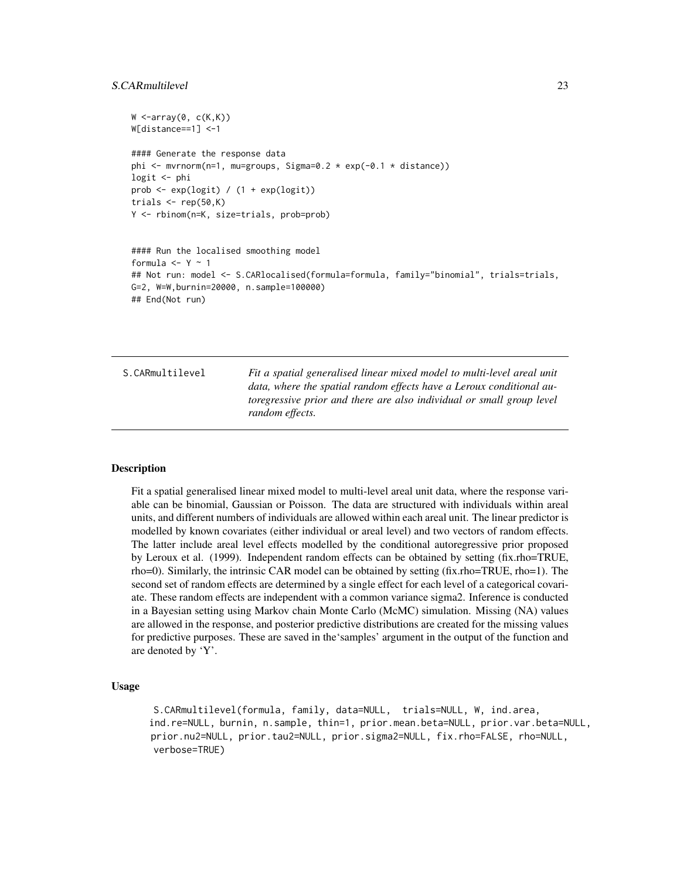# <span id="page-22-0"></span>S.CARmultilevel 23

```
W \leftarrow \text{array}(\emptyset, c(K,K))W[distance==1] <-1
#### Generate the response data
phi <- mvrnorm(n=1, mu=groups, Sigma=0.2 * exp(-0.1 * distance))
logit <- phi
prob <- exp(logit) / (1 + exp(logit))
trials \leq rep(50,K)
Y <- rbinom(n=K, size=trials, prob=prob)
#### Run the localised smoothing model
formula <- Y - 1
## Not run: model <- S.CARlocalised(formula=formula, family="binomial", trials=trials,
G=2, W=W,burnin=20000, n.sample=100000)
## End(Not run)
```
S.CARmultilevel *Fit a spatial generalised linear mixed model to multi-level areal unit data, where the spatial random effects have a Leroux conditional autoregressive prior and there are also individual or small group level random effects.*

#### Description

Fit a spatial generalised linear mixed model to multi-level areal unit data, where the response variable can be binomial, Gaussian or Poisson. The data are structured with individuals within areal units, and different numbers of individuals are allowed within each areal unit. The linear predictor is modelled by known covariates (either individual or areal level) and two vectors of random effects. The latter include areal level effects modelled by the conditional autoregressive prior proposed by Leroux et al. (1999). Independent random effects can be obtained by setting (fix.rho=TRUE, rho=0). Similarly, the intrinsic CAR model can be obtained by setting (fix.rho=TRUE, rho=1). The second set of random effects are determined by a single effect for each level of a categorical covariate. These random effects are independent with a common variance sigma2. Inference is conducted in a Bayesian setting using Markov chain Monte Carlo (McMC) simulation. Missing (NA) values are allowed in the response, and posterior predictive distributions are created for the missing values for predictive purposes. These are saved in the'samples' argument in the output of the function and are denoted by 'Y'.

#### Usage

S.CARmultilevel(formula, family, data=NULL, trials=NULL, W, ind.area, ind.re=NULL, burnin, n.sample, thin=1, prior.mean.beta=NULL, prior.var.beta=NULL, prior.nu2=NULL, prior.tau2=NULL, prior.sigma2=NULL, fix.rho=FALSE, rho=NULL, verbose=TRUE)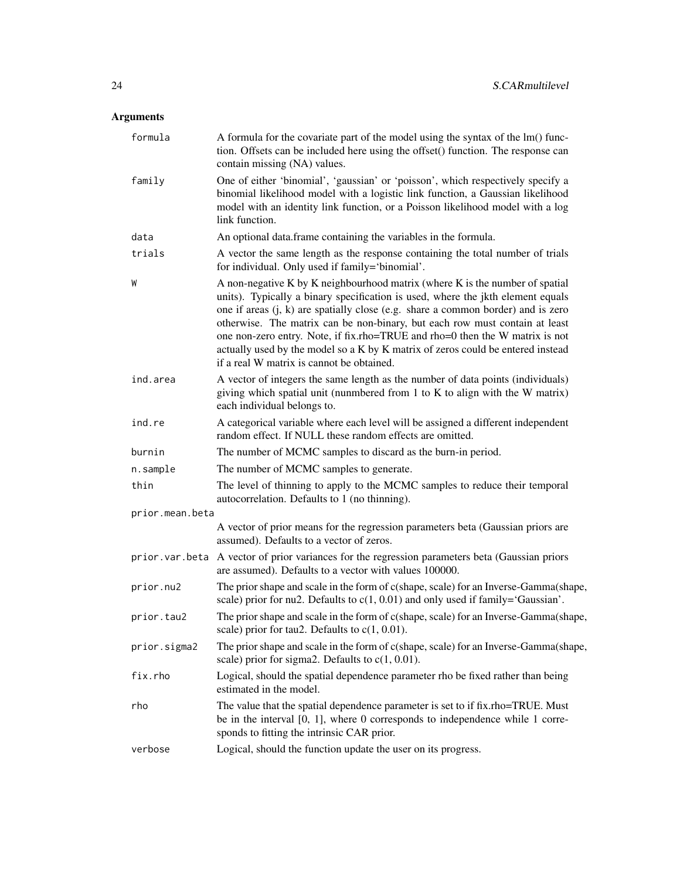| formula         | A formula for the covariate part of the model using the syntax of the lm() func-<br>tion. Offsets can be included here using the offset() function. The response can<br>contain missing (NA) values.                                                                                                                                                                                                                                                                                                                                                 |
|-----------------|------------------------------------------------------------------------------------------------------------------------------------------------------------------------------------------------------------------------------------------------------------------------------------------------------------------------------------------------------------------------------------------------------------------------------------------------------------------------------------------------------------------------------------------------------|
| family          | One of either 'binomial', 'gaussian' or 'poisson', which respectively specify a<br>binomial likelihood model with a logistic link function, a Gaussian likelihood<br>model with an identity link function, or a Poisson likelihood model with a log<br>link function.                                                                                                                                                                                                                                                                                |
| data            | An optional data.frame containing the variables in the formula.                                                                                                                                                                                                                                                                                                                                                                                                                                                                                      |
| trials          | A vector the same length as the response containing the total number of trials<br>for individual. Only used if family='binomial'.                                                                                                                                                                                                                                                                                                                                                                                                                    |
| W               | A non-negative K by K neighbourhood matrix (where K is the number of spatial<br>units). Typically a binary specification is used, where the jkth element equals<br>one if areas $(i, k)$ are spatially close (e.g. share a common border) and is zero<br>otherwise. The matrix can be non-binary, but each row must contain at least<br>one non-zero entry. Note, if fix.rho=TRUE and rho=0 then the W matrix is not<br>actually used by the model so a K by K matrix of zeros could be entered instead<br>if a real W matrix is cannot be obtained. |
| ind.area        | A vector of integers the same length as the number of data points (individuals)<br>giving which spatial unit (nunmbered from $1$ to $K$ to align with the W matrix)<br>each individual belongs to.                                                                                                                                                                                                                                                                                                                                                   |
| ind.re          | A categorical variable where each level will be assigned a different independent<br>random effect. If NULL these random effects are omitted.                                                                                                                                                                                                                                                                                                                                                                                                         |
| burnin          | The number of MCMC samples to discard as the burn-in period.                                                                                                                                                                                                                                                                                                                                                                                                                                                                                         |
| n.sample        | The number of MCMC samples to generate.                                                                                                                                                                                                                                                                                                                                                                                                                                                                                                              |
| thin            | The level of thinning to apply to the MCMC samples to reduce their temporal<br>autocorrelation. Defaults to 1 (no thinning).                                                                                                                                                                                                                                                                                                                                                                                                                         |
| prior.mean.beta |                                                                                                                                                                                                                                                                                                                                                                                                                                                                                                                                                      |
|                 | A vector of prior means for the regression parameters beta (Gaussian priors are<br>assumed). Defaults to a vector of zeros.                                                                                                                                                                                                                                                                                                                                                                                                                          |
|                 | prior. var. beta A vector of prior variances for the regression parameters beta (Gaussian priors<br>are assumed). Defaults to a vector with values 100000.                                                                                                                                                                                                                                                                                                                                                                                           |
| prior.nu2       | The prior shape and scale in the form of c(shape, scale) for an Inverse-Gamma(shape,<br>scale) prior for nu2. Defaults to $c(1, 0.01)$ and only used if family='Gaussian'.                                                                                                                                                                                                                                                                                                                                                                           |
| prior.tau2      | The prior shape and scale in the form of c(shape, scale) for an Inverse-Gamma(shape,<br>scale) prior for tau2. Defaults to $c(1, 0.01)$ .                                                                                                                                                                                                                                                                                                                                                                                                            |
| prior.sigma2    | The prior shape and scale in the form of c(shape, scale) for an Inverse-Gamma(shape,<br>scale) prior for sigma2. Defaults to $c(1, 0.01)$ .                                                                                                                                                                                                                                                                                                                                                                                                          |
| fix.rho         | Logical, should the spatial dependence parameter rho be fixed rather than being<br>estimated in the model.                                                                                                                                                                                                                                                                                                                                                                                                                                           |
| rho             | The value that the spatial dependence parameter is set to if fix.rho=TRUE. Must<br>be in the interval $[0, 1]$ , where 0 corresponds to independence while 1 corre-<br>sponds to fitting the intrinsic CAR prior.                                                                                                                                                                                                                                                                                                                                    |
| verbose         | Logical, should the function update the user on its progress.                                                                                                                                                                                                                                                                                                                                                                                                                                                                                        |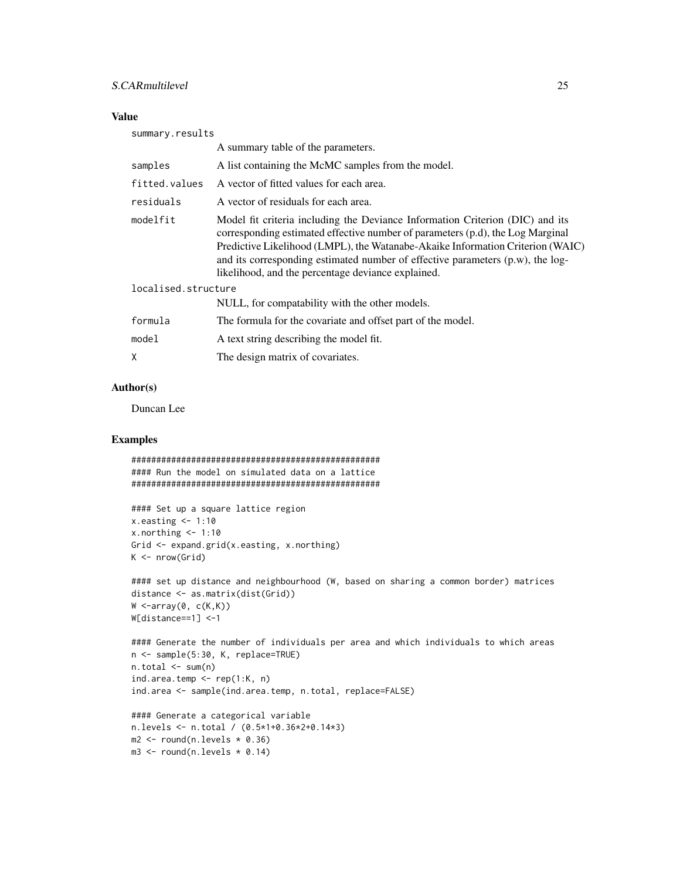#### S.CARmultilevel 25

# Value

| summary.results     |                                                                                                                                                                                                                                                                                                                                                                                           |
|---------------------|-------------------------------------------------------------------------------------------------------------------------------------------------------------------------------------------------------------------------------------------------------------------------------------------------------------------------------------------------------------------------------------------|
|                     | A summary table of the parameters.                                                                                                                                                                                                                                                                                                                                                        |
| samples             | A list containing the McMC samples from the model.                                                                                                                                                                                                                                                                                                                                        |
| fitted.values       | A vector of fitted values for each area.                                                                                                                                                                                                                                                                                                                                                  |
| residuals           | A vector of residuals for each area.                                                                                                                                                                                                                                                                                                                                                      |
| modelfit            | Model fit criteria including the Deviance Information Criterion (DIC) and its<br>corresponding estimated effective number of parameters (p.d), the Log Marginal<br>Predictive Likelihood (LMPL), the Watanabe-Akaike Information Criterion (WAIC)<br>and its corresponding estimated number of effective parameters (p.w), the log-<br>likelihood, and the percentage deviance explained. |
| localised.structure |                                                                                                                                                                                                                                                                                                                                                                                           |
|                     | NULL, for compatability with the other models.                                                                                                                                                                                                                                                                                                                                            |
| formula             | The formula for the covariate and offset part of the model.                                                                                                                                                                                                                                                                                                                               |
| model               | A text string describing the model fit.                                                                                                                                                                                                                                                                                                                                                   |
| X                   | The design matrix of covariates.                                                                                                                                                                                                                                                                                                                                                          |

# Author(s)

Duncan Lee

# Examples

```
##################################################
#### Run the model on simulated data on a lattice
##################################################
```

```
#### Set up a square lattice region
x.easting < -1:10x.northing < -1:10Grid <- expand.grid(x.easting, x.northing)
K \leq -\text{nrow}(Grid)
```

```
#### set up distance and neighbourhood (W, based on sharing a common border) matrices
distance <- as.matrix(dist(Grid))
W \leq -array(0, c(K,K))W[distance==1] <-1
```

```
#### Generate the number of individuals per area and which individuals to which areas
n <- sample(5:30, K, replace=TRUE)
n.total <- sum(n)
ind.area.temp \leq rep(1:K, n)
ind.area <- sample(ind.area.temp, n.total, replace=FALSE)
```

```
#### Generate a categorical variable
n.levels <- n.total / (0.5*1+0.36*2+0.14*3)
m2 \le round(n.levels * 0.36)
m3 \le round(n.levels * 0.14)
```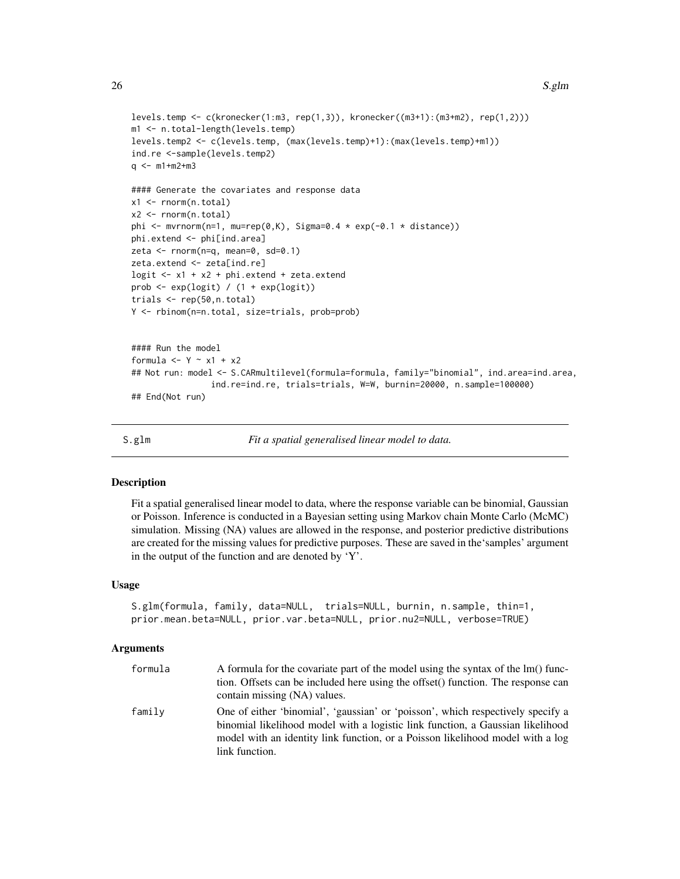```
levels.temp <- c(kronecker(1:m3, rep(1,3)), kronecker((m3+1):(m3+m2), rep(1,2)))
m1 <- n.total-length(levels.temp)
levels.temp2 <- c(levels.temp, (max(levels.temp)+1):(max(levels.temp)+m1))
ind.re <-sample(levels.temp2)
q \leq -m1+m2+m3#### Generate the covariates and response data
x1 <- rnorm(n.total)
x2 <- rnorm(n.total)
phi \leq mvrnorm(n=1, mu=rep(0,K), Sigma=0.4 * exp(-0.1 * distance))
phi.extend <- phi[ind.area]
zeta <- rnorm(n=q, mean=0, sd=0.1)
zeta.extend <- zeta[ind.re]
logit \leq x_1 + x_2 + \text{phi}. extend + zeta.extend
prob \leq exp(logit) / (1 + exp(logit))
trials <- rep(50,n.total)
Y <- rbinom(n=n.total, size=trials, prob=prob)
#### Run the model
formula <- Y - x1 + x2
## Not run: model <- S.CARmultilevel(formula=formula, family="binomial", ind.area=ind.area,
                ind.re=ind.re, trials=trials, W=W, burnin=20000, n.sample=100000)
## End(Not run)
```
S.glm *Fit a spatial generalised linear model to data.*

#### Description

Fit a spatial generalised linear model to data, where the response variable can be binomial, Gaussian or Poisson. Inference is conducted in a Bayesian setting using Markov chain Monte Carlo (McMC) simulation. Missing (NA) values are allowed in the response, and posterior predictive distributions are created for the missing values for predictive purposes. These are saved in the'samples' argument in the output of the function and are denoted by 'Y'.

#### Usage

```
S.glm(formula, family, data=NULL, trials=NULL, burnin, n.sample, thin=1,
prior.mean.beta=NULL, prior.var.beta=NULL, prior.nu2=NULL, verbose=TRUE)
```

| formula | A formula for the covariate part of the model using the syntax of the lm() func-<br>tion. Offsets can be included here using the offset() function. The response can<br>contain missing (NA) values.                                                                  |
|---------|-----------------------------------------------------------------------------------------------------------------------------------------------------------------------------------------------------------------------------------------------------------------------|
| family  | One of either 'binomial', 'gaussian' or 'poisson', which respectively specify a<br>binomial likelihood model with a logistic link function, a Gaussian likelihood<br>model with an identity link function, or a Poisson likelihood model with a log<br>link function. |

<span id="page-25-0"></span>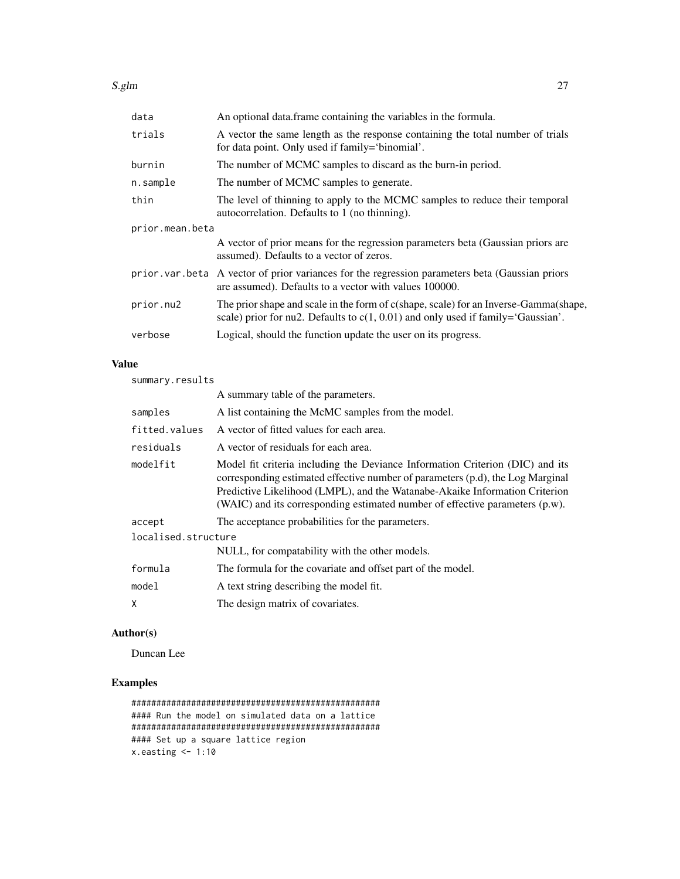| data            | An optional data.frame containing the variables in the formula.                                                                                                            |
|-----------------|----------------------------------------------------------------------------------------------------------------------------------------------------------------------------|
| trials          | A vector the same length as the response containing the total number of trials<br>for data point. Only used if family='binomial'.                                          |
| burnin          | The number of MCMC samples to discard as the burn-in period.                                                                                                               |
| n.sample        | The number of MCMC samples to generate.                                                                                                                                    |
| thin            | The level of thinning to apply to the MCMC samples to reduce their temporal<br>autocorrelation. Defaults to 1 (no thinning).                                               |
| prior.mean.beta |                                                                                                                                                                            |
|                 | A vector of prior means for the regression parameters beta (Gaussian priors are<br>assumed). Defaults to a vector of zeros.                                                |
|                 | prior var beta A vector of prior variances for the regression parameters beta (Gaussian priors<br>are assumed). Defaults to a vector with values 100000.                   |
| prior.nu2       | The prior shape and scale in the form of c(shape, scale) for an Inverse-Gamma(shape,<br>scale) prior for nu2. Defaults to $c(1, 0.01)$ and only used if family='Gaussian'. |
| verbose         | Logical, should the function update the user on its progress.                                                                                                              |
|                 |                                                                                                                                                                            |

# Value

summary.results

|                     | A summary table of the parameters.                                                                                                                                                                                                                                                                                             |
|---------------------|--------------------------------------------------------------------------------------------------------------------------------------------------------------------------------------------------------------------------------------------------------------------------------------------------------------------------------|
| samples             | A list containing the McMC samples from the model.                                                                                                                                                                                                                                                                             |
| fitted.values       | A vector of fitted values for each area.                                                                                                                                                                                                                                                                                       |
| residuals           | A vector of residuals for each area.                                                                                                                                                                                                                                                                                           |
| modelfit            | Model fit criteria including the Deviance Information Criterion (DIC) and its<br>corresponding estimated effective number of parameters (p.d), the Log Marginal<br>Predictive Likelihood (LMPL), and the Watanabe-Akaike Information Criterion<br>(WAIC) and its corresponding estimated number of effective parameters (p.w). |
| accept              | The acceptance probabilities for the parameters.                                                                                                                                                                                                                                                                               |
| localised.structure |                                                                                                                                                                                                                                                                                                                                |
|                     | NULL, for compatability with the other models.                                                                                                                                                                                                                                                                                 |
| formula             | The formula for the covariate and offset part of the model.                                                                                                                                                                                                                                                                    |
| model               | A text string describing the model fit.                                                                                                                                                                                                                                                                                        |
| χ                   | The design matrix of covariates.                                                                                                                                                                                                                                                                                               |
|                     |                                                                                                                                                                                                                                                                                                                                |

# Author(s)

Duncan Lee

# Examples

```
##################################################
#### Run the model on simulated data on a lattice
##################################################
#### Set up a square lattice region
x.easting < -1:10
```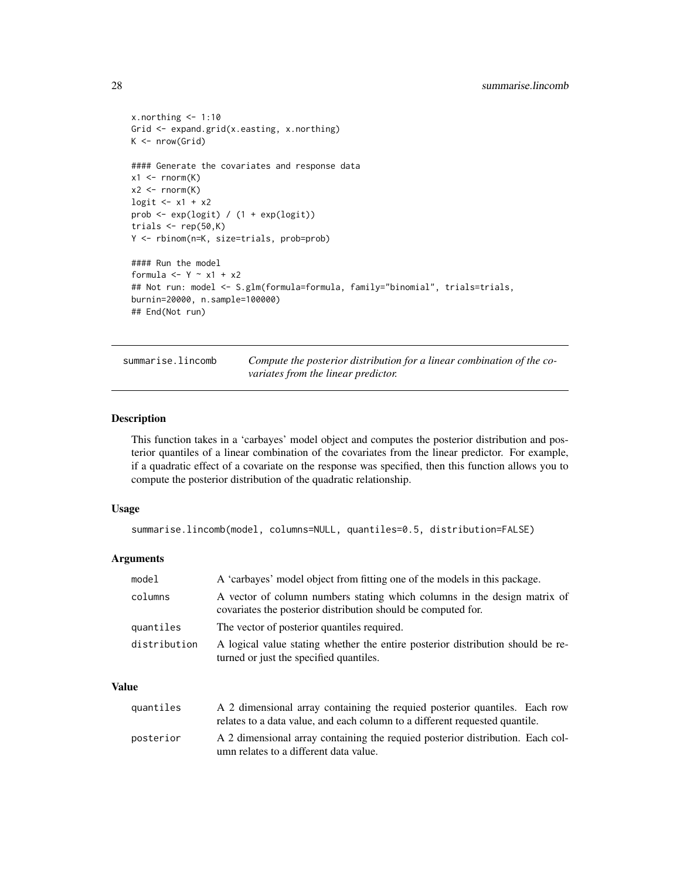```
x.northing < -1:10Grid <- expand.grid(x.easting, x.northing)
K \leftarrow \text{nrow}(\text{Grid})#### Generate the covariates and response data
x1 \leftarrow \text{rnorm}(K)x2 \le- rnorm(K)logit \leftarrow x1 + x2prob <- exp(logit) / (1 + exp(logit))
trials \leq rep(50,K)
Y <- rbinom(n=K, size=trials, prob=prob)
#### Run the model
formula <- Y \sim x1 + x2
## Not run: model <- S.glm(formula=formula, family="binomial", trials=trials,
burnin=20000, n.sample=100000)
## End(Not run)
```
summarise.lincomb *Compute the posterior distribution for a linear combination of the covariates from the linear predictor.*

#### Description

This function takes in a 'carbayes' model object and computes the posterior distribution and posterior quantiles of a linear combination of the covariates from the linear predictor. For example, if a quadratic effect of a covariate on the response was specified, then this function allows you to compute the posterior distribution of the quadratic relationship.

#### Usage

```
summarise.lincomb(model, columns=NULL, quantiles=0.5, distribution=FALSE)
```
#### **Arguments**

| model        | A 'carbayes' model object from fitting one of the models in this package.                                                                 |
|--------------|-------------------------------------------------------------------------------------------------------------------------------------------|
| columns      | A vector of column numbers stating which columns in the design matrix of<br>covariates the posterior distribution should be computed for. |
| quantiles    | The vector of posterior quantiles required.                                                                                               |
| distribution | A logical value stating whether the entire posterior distribution should be re-<br>turned or just the specified quantiles.                |

# Value

| quantiles | A 2 dimensional array containing the requied posterior quantiles. Each row     |  |
|-----------|--------------------------------------------------------------------------------|--|
|           | relates to a data value, and each column to a different requested quantile.    |  |
| posterior | A 2 dimensional array containing the requied posterior distribution. Each col- |  |
|           | umn relates to a different data value.                                         |  |

<span id="page-27-0"></span>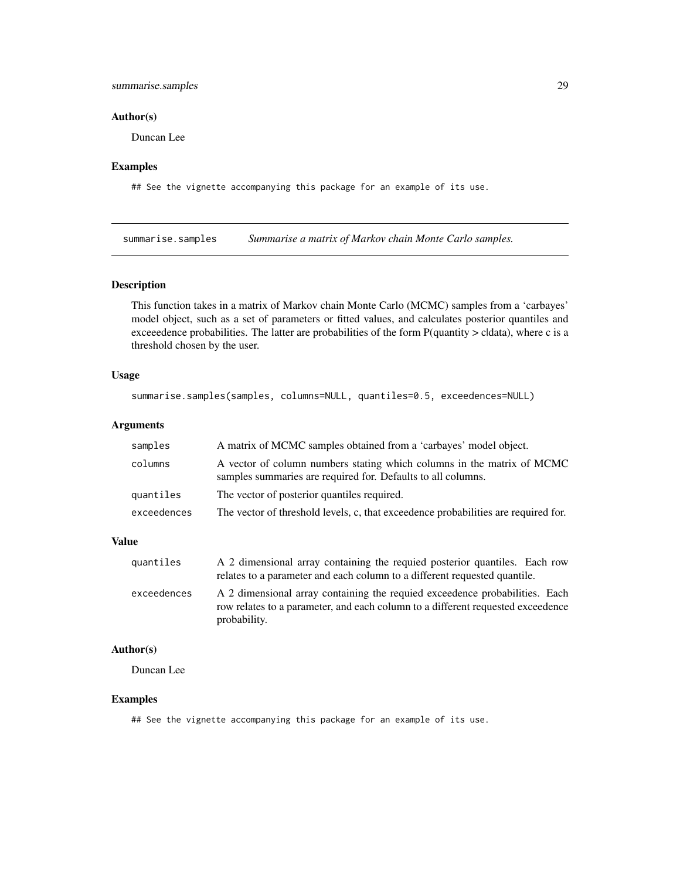# <span id="page-28-0"></span>summarise.samples 29

#### Author(s)

Duncan Lee

#### Examples

## See the vignette accompanying this package for an example of its use.

summarise.samples *Summarise a matrix of Markov chain Monte Carlo samples.* 

#### Description

This function takes in a matrix of Markov chain Monte Carlo (MCMC) samples from a 'carbayes' model object, such as a set of parameters or fitted values, and calculates posterior quantiles and exceeedence probabilities. The latter are probabilities of the form P(quantity > cldata), where c is a threshold chosen by the user.

#### Usage

```
summarise.samples(samples, columns=NULL, quantiles=0.5, exceedences=NULL)
```
#### Arguments

| samples     | A matrix of MCMC samples obtained from a 'carbayes' model object.                                                                      |
|-------------|----------------------------------------------------------------------------------------------------------------------------------------|
| columns     | A vector of column numbers stating which columns in the matrix of MCMC<br>samples summaries are required for. Defaults to all columns. |
| quantiles   | The vector of posterior quantiles required.                                                                                            |
| exceedences | The vector of threshold levels, c, that exceedence probabilities are required for.                                                     |
|             |                                                                                                                                        |

#### Value

| quantiles   | A 2 dimensional array containing the requied posterior quantiles. Each row                                                                                     |
|-------------|----------------------------------------------------------------------------------------------------------------------------------------------------------------|
|             | relates to a parameter and each column to a different requested quantile.                                                                                      |
| exceedences | A 2 dimensional array containing the requied exceedence probabilities. Each<br>row relates to a parameter, and each column to a different requested exceedence |
|             | probability.                                                                                                                                                   |

# Author(s)

Duncan Lee

#### Examples

## See the vignette accompanying this package for an example of its use.